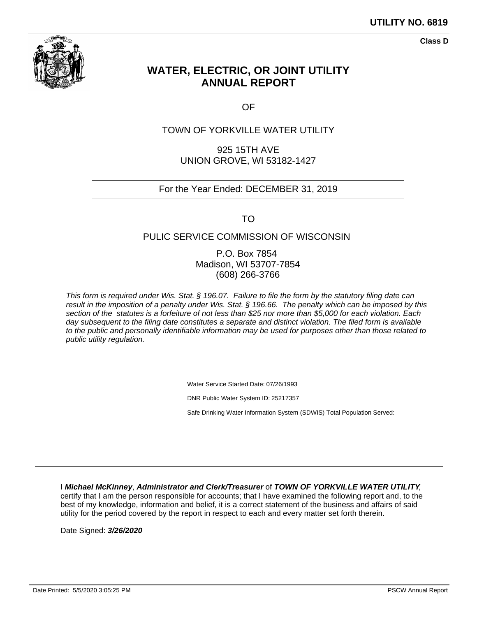

**Class D**

# **WATER, ELECTRIC, OR JOINT UTILITY ANNUAL REPORT**

OF

### TOWN OF YORKVILLE WATER UTILITY

925 15TH AVE UNION GROVE, WI 53182-1427

### For the Year Ended: DECEMBER 31, 2019

TO

### PULIC SERVICE COMMISSION OF WISCONSIN

P.O. Box 7854 Madison, WI 53707-7854 (608) 266-3766

This form is required under Wis. Stat. § 196.07. Failure to file the form by the statutory filing date can result in the imposition of a penalty under Wis. Stat. § 196.66. The penalty which can be imposed by this section of the statutes is a forfeiture of not less than \$25 nor more than \$5,000 for each violation. Each day subsequent to the filing date constitutes a separate and distinct violation. The filed form is available to the public and personally identifiable information may be used for purposes other than those related to public utility regulation.

Water Service Started Date: 07/26/1993

DNR Public Water System ID: 25217357

Safe Drinking Water Information System (SDWIS) Total Population Served:

I **Michael McKinney**, **Administrator and Clerk/Treasurer** of **TOWN OF YORKVILLE WATER UTILITY**, certify that I am the person responsible for accounts; that I have examined the following report and, to the best of my knowledge, information and belief, it is a correct statement of the business and affairs of said utility for the period covered by the report in respect to each and every matter set forth therein.

Date Signed: **3/26/2020**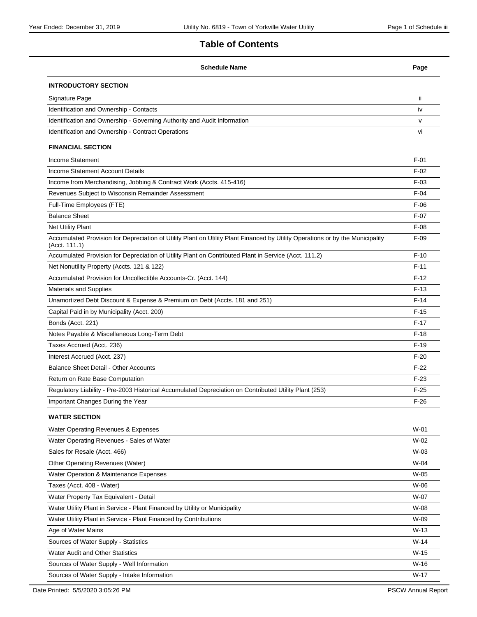# **Table of Contents**

| <b>Schedule Name</b>                                                                                                                            | Page         |
|-------------------------------------------------------------------------------------------------------------------------------------------------|--------------|
| <b>INTRODUCTORY SECTION</b>                                                                                                                     |              |
| Signature Page                                                                                                                                  | ii.          |
| Identification and Ownership - Contacts                                                                                                         | iv           |
| Identification and Ownership - Governing Authority and Audit Information                                                                        | $\mathsf{V}$ |
| Identification and Ownership - Contract Operations                                                                                              | vi           |
| <b>FINANCIAL SECTION</b>                                                                                                                        |              |
| <b>Income Statement</b>                                                                                                                         | $F-01$       |
| Income Statement Account Details                                                                                                                | $F-02$       |
| Income from Merchandising, Jobbing & Contract Work (Accts. 415-416)                                                                             | $F-03$       |
| Revenues Subject to Wisconsin Remainder Assessment                                                                                              | $F-04$       |
| Full-Time Employees (FTE)                                                                                                                       | $F-06$       |
| <b>Balance Sheet</b>                                                                                                                            | $F-07$       |
| <b>Net Utility Plant</b>                                                                                                                        | $F-08$       |
| Accumulated Provision for Depreciation of Utility Plant on Utility Plant Financed by Utility Operations or by the Municipality<br>(Acct. 111.1) | $F-09$       |
| Accumulated Provision for Depreciation of Utility Plant on Contributed Plant in Service (Acct. 111.2)                                           | $F-10$       |
| Net Nonutility Property (Accts. 121 & 122)                                                                                                      | $F-11$       |
| Accumulated Provision for Uncollectible Accounts-Cr. (Acct. 144)                                                                                | $F-12$       |
| <b>Materials and Supplies</b>                                                                                                                   | $F-13$       |
| Unamortized Debt Discount & Expense & Premium on Debt (Accts. 181 and 251)                                                                      | $F-14$       |
| Capital Paid in by Municipality (Acct. 200)                                                                                                     | $F-15$       |
| Bonds (Acct. 221)                                                                                                                               | $F-17$       |
| Notes Payable & Miscellaneous Long-Term Debt                                                                                                    | $F-18$       |
| Taxes Accrued (Acct. 236)                                                                                                                       | $F-19$       |
| Interest Accrued (Acct. 237)                                                                                                                    | $F-20$       |
| <b>Balance Sheet Detail - Other Accounts</b>                                                                                                    | $F-22$       |
| Return on Rate Base Computation                                                                                                                 | $F-23$       |
| Regulatory Liability - Pre-2003 Historical Accumulated Depreciation on Contributed Utility Plant (253)                                          | $F-25$       |
| Important Changes During the Year                                                                                                               | $F-26$       |
| <b>WATER SECTION</b>                                                                                                                            |              |
| Water Operating Revenues & Expenses                                                                                                             | $W-01$       |
| Water Operating Revenues - Sales of Water                                                                                                       | W-02         |
| Sales for Resale (Acct. 466)                                                                                                                    | $W-03$       |
| Other Operating Revenues (Water)                                                                                                                | W-04         |
| Water Operation & Maintenance Expenses                                                                                                          | W-05         |
| Taxes (Acct. 408 - Water)                                                                                                                       | W-06         |
| Water Property Tax Equivalent - Detail                                                                                                          | W-07         |
| Water Utility Plant in Service - Plant Financed by Utility or Municipality                                                                      | W-08         |
| Water Utility Plant in Service - Plant Financed by Contributions                                                                                | W-09         |
| Age of Water Mains                                                                                                                              | $W-13$       |
| Sources of Water Supply - Statistics                                                                                                            | $W-14$       |
| <b>Water Audit and Other Statistics</b>                                                                                                         | $W-15$       |
| Sources of Water Supply - Well Information                                                                                                      | W-16         |
| Sources of Water Supply - Intake Information                                                                                                    | $W-17$       |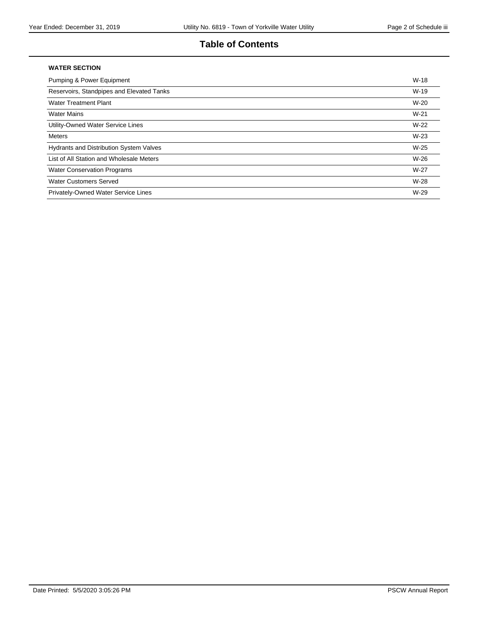### **Table of Contents**

#### **WATER SECTION**

| <b>Pumping &amp; Power Equipment</b>           | $W-18$ |
|------------------------------------------------|--------|
| Reservoirs, Standpipes and Elevated Tanks      | $W-19$ |
| <b>Water Treatment Plant</b>                   | $W-20$ |
| <b>Water Mains</b>                             | $W-21$ |
| Utility-Owned Water Service Lines              | $W-22$ |
| Meters                                         | $W-23$ |
| <b>Hydrants and Distribution System Valves</b> | $W-25$ |
| List of All Station and Wholesale Meters       | $W-26$ |
| <b>Water Conservation Programs</b>             | $W-27$ |
| <b>Water Customers Served</b>                  | W-28   |
| Privately-Owned Water Service Lines            | W-29   |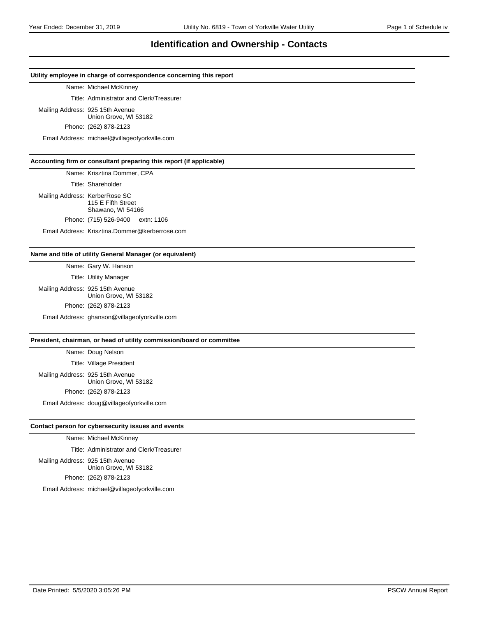### **Identification and Ownership - Contacts**

#### **Utility employee in charge of correspondence concerning this report**

Name: Michael McKinney

Title: Administrator and Clerk/Treasurer

Mailing Address: 925 15th Avenue

Union Grove, WI 53182

Phone: (262) 878-2123

Email Address: michael@villageofyorkville.com

#### **Accounting firm or consultant preparing this report (if applicable)**

Name: Krisztina Dommer, CPA

Title: Shareholder

Mailing Address: KerberRose SC 115 E Fifth Street Shawano, WI 54166 Phone: (715) 526-9400 extn: 1106

Email Address: Krisztina.Dommer@kerberrose.com

#### **Name and title of utility General Manager (or equivalent)**

Name: Gary W. Hanson

Title: Utility Manager Mailing Address: 925 15th Avenue Union Grove, WI 53182 Phone: (262) 878-2123 Email Address: ghanson@villageofyorkville.com

#### **President, chairman, or head of utility commission/board or committee**

Name: Doug Nelson Title: Village President Mailing Address: 925 15th Avenue Union Grove, WI 53182 Phone: (262) 878-2123

Email Address: doug@villageofyorkville.com

#### **Contact person for cybersecurity issues and events**

Name: Michael McKinney

Title: Administrator and Clerk/Treasurer

Mailing Address: 925 15th Avenue Union Grove, WI 53182 Phone: (262) 878-2123

Email Address: michael@villageofyorkville.com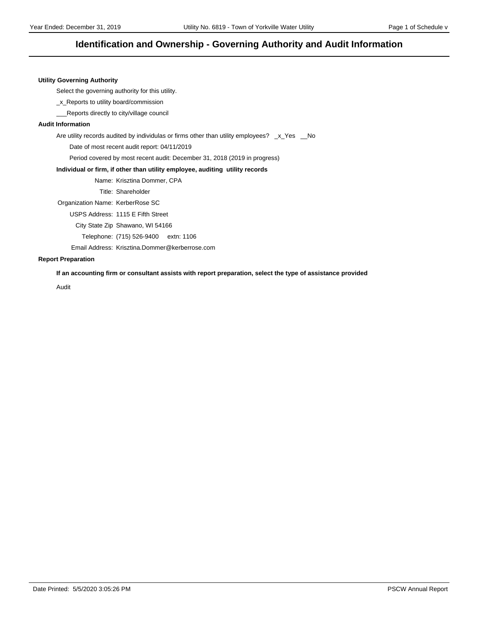### **Identification and Ownership - Governing Authority and Audit Information**

#### **Utility Governing Authority**

Select the governing authority for this utility.

\_x\_Reports to utility board/commission

\_\_\_Reports directly to city/village council

#### **Audit Information**

Are utility records audited by individulas or firms other than utility employees? \_x\_Yes \_No

Date of most recent audit report: 04/11/2019

Period covered by most recent audit: December 31, 2018 (2019 in progress)

#### **Individual or firm, if other than utility employee, auditing utility records**

Name: Krisztina Dommer, CPA

Title: Shareholder

Organization Name: KerberRose SC

USPS Address: 1115 E Fifth Street

City State Zip Shawano, WI 54166

Telephone: (715) 526-9400 extn: 1106

Email Address: Krisztina.Dommer@kerberrose.com

#### **Report Preparation**

**If an accounting firm or consultant assists with report preparation, select the type of assistance provided**

Audit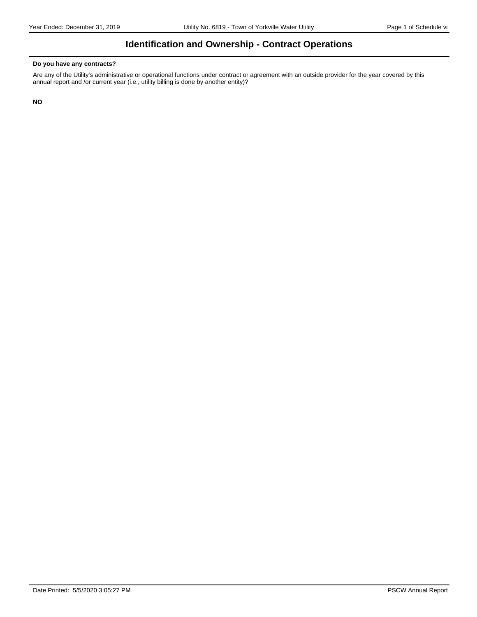# **Identification and Ownership - Contract Operations**

#### **Do you have any contracts?**

Are any of the Utility's administrative or operational functions under contract or agreement with an outside provider for the year covered by this annual report and /or current year (i.e., utility billing is done by another entity)?

**NO**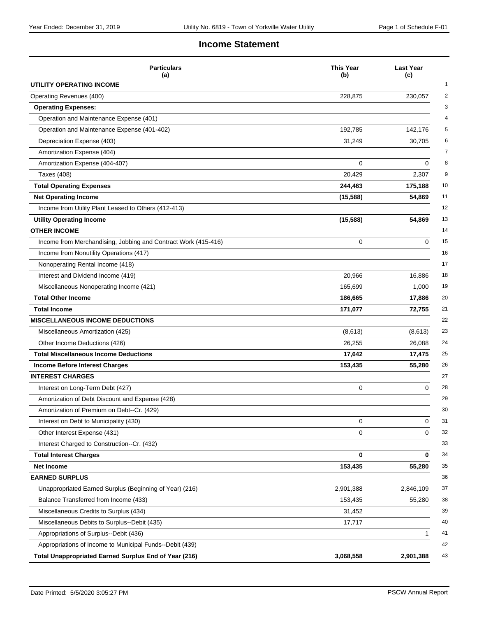### **Income Statement**

| <b>Particulars</b><br>(a)                                      | <b>This Year</b><br>(b) | <b>Last Year</b><br>(c) |
|----------------------------------------------------------------|-------------------------|-------------------------|
| UTILITY OPERATING INCOME                                       |                         |                         |
| Operating Revenues (400)                                       | 228,875                 | 230,057                 |
| <b>Operating Expenses:</b>                                     |                         |                         |
| Operation and Maintenance Expense (401)                        |                         |                         |
| Operation and Maintenance Expense (401-402)                    | 192,785                 | 142,176                 |
| Depreciation Expense (403)                                     | 31,249                  | 30,705                  |
| Amortization Expense (404)                                     |                         |                         |
| Amortization Expense (404-407)                                 | 0                       | $\mathbf 0$             |
| <b>Taxes (408)</b>                                             | 20,429                  | 2,307                   |
| <b>Total Operating Expenses</b>                                | 244,463                 | 175,188                 |
| <b>Net Operating Income</b>                                    | (15, 588)               | 54,869                  |
| Income from Utility Plant Leased to Others (412-413)           |                         |                         |
| <b>Utility Operating Income</b>                                | (15, 588)               | 54,869                  |
| <b>OTHER INCOME</b>                                            |                         |                         |
| Income from Merchandising, Jobbing and Contract Work (415-416) | 0                       | $\Omega$                |
| Income from Nonutility Operations (417)                        |                         |                         |
| Nonoperating Rental Income (418)                               |                         |                         |
| Interest and Dividend Income (419)                             | 20,966                  | 16,886                  |
| Miscellaneous Nonoperating Income (421)                        | 165,699                 | 1,000                   |
| <b>Total Other Income</b>                                      | 186,665                 | 17,886                  |
| <b>Total Income</b>                                            | 171,077                 | 72,755                  |
| <b>MISCELLANEOUS INCOME DEDUCTIONS</b>                         |                         |                         |
| Miscellaneous Amortization (425)                               | (8,613)                 | (8,613)                 |
| Other Income Deductions (426)                                  | 26,255                  | 26,088                  |
| <b>Total Miscellaneous Income Deductions</b>                   | 17,642                  | 17,475                  |
| <b>Income Before Interest Charges</b>                          | 153,435                 | 55,280                  |
| <b>INTEREST CHARGES</b>                                        |                         |                         |
| Interest on Long-Term Debt (427)                               | 0                       | $\mathbf 0$             |
| Amortization of Debt Discount and Expense (428)                |                         |                         |
| Amortization of Premium on Debt--Cr. (429)                     |                         |                         |
| Interest on Debt to Municipality (430)                         | 0                       | 0                       |
| Other Interest Expense (431)                                   | 0                       | 0                       |
| Interest Charged to Construction--Cr. (432)                    |                         |                         |
| <b>Total Interest Charges</b>                                  | 0                       | 0                       |
| Net Income                                                     | 153,435                 | 55,280                  |
| <b>EARNED SURPLUS</b>                                          |                         |                         |
| Unappropriated Earned Surplus (Beginning of Year) (216)        | 2,901,388               | 2,846,109               |
| Balance Transferred from Income (433)                          | 153,435                 | 55,280                  |
| Miscellaneous Credits to Surplus (434)                         | 31,452                  |                         |
| Miscellaneous Debits to Surplus--Debit (435)                   | 17,717                  |                         |
| Appropriations of Surplus--Debit (436)                         |                         | 1                       |
| Appropriations of Income to Municipal Funds--Debit (439)       |                         |                         |
| Total Unappropriated Earned Surplus End of Year (216)          | 3,068,558               | 2,901,388               |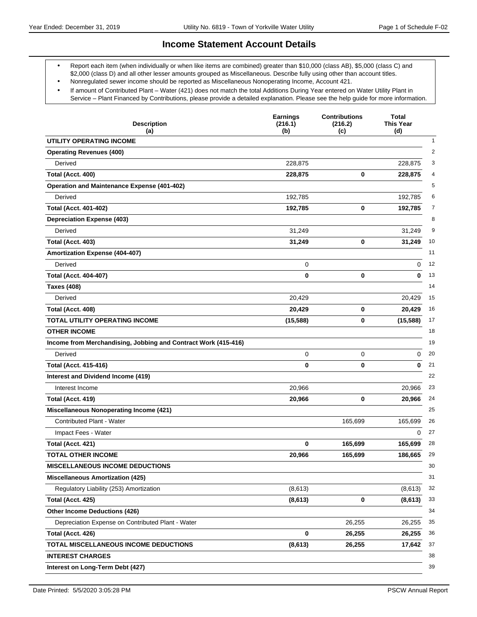### **Income Statement Account Details**

- Report each item (when individually or when like items are combined) greater than \$10,000 (class AB), \$5,000 (class C) and \$2,000 (class D) and all other lesser amounts grouped as Miscellaneous. Describe fully using other than account titles.
- Nonregulated sewer income should be reported as Miscellaneous Nonoperating Income, Account 421.
- If amount of Contributed Plant Water (421) does not match the total Additions During Year entered on Water Utility Plant in Service - Plant Financed by Contributions, please provide a detailed explanation. Please see the help guide for more information.

| <b>Description</b><br>(a)                                      | <b>Earnings</b><br>(216.1)<br>(b) | <b>Contributions</b><br>(216.2)<br>(c) | <b>Total</b><br><b>This Year</b><br>(d) |
|----------------------------------------------------------------|-----------------------------------|----------------------------------------|-----------------------------------------|
| UTILITY OPERATING INCOME                                       |                                   |                                        | $\mathbf{1}$                            |
| <b>Operating Revenues (400)</b>                                |                                   |                                        | $\overline{2}$                          |
| Derived                                                        | 228.875                           |                                        | 228,875                                 |
| Total (Acct. 400)                                              | 228,875                           | 0                                      | 228,875                                 |
| <b>Operation and Maintenance Expense (401-402)</b>             |                                   |                                        | 5                                       |
| Derived                                                        | 192,785                           |                                        | 192,785<br>6                            |
| <b>Total (Acct. 401-402)</b>                                   | 192,785                           | 0                                      | 192,785                                 |
| <b>Depreciation Expense (403)</b>                              |                                   |                                        | 8                                       |
| Derived                                                        | 31,249                            |                                        | 9<br>31,249                             |
| Total (Acct. 403)                                              | 31,249                            | 0                                      | 10<br>31,249                            |
| Amortization Expense (404-407)                                 |                                   |                                        | 11                                      |
| Derived                                                        | 0                                 |                                        | 12<br>0                                 |
| <b>Total (Acct. 404-407)</b>                                   | 0                                 | 0                                      | 13<br>0                                 |
| <b>Taxes (408)</b>                                             |                                   |                                        | 14                                      |
| Derived                                                        | 20,429                            |                                        | 15<br>20,429                            |
| Total (Acct. 408)                                              | 20,429                            | 0                                      | 20,429<br>16                            |
| <b>TOTAL UTILITY OPERATING INCOME</b>                          | (15, 588)                         | 0                                      | (15, 588)<br>17                         |
| <b>OTHER INCOME</b>                                            |                                   |                                        | 18                                      |
| Income from Merchandising, Jobbing and Contract Work (415-416) |                                   |                                        | 19                                      |
| Derived                                                        | 0                                 | 0                                      | 20<br>0                                 |
| <b>Total (Acct. 415-416)</b>                                   | 0                                 | 0                                      | 0<br>21                                 |
| Interest and Dividend Income (419)                             |                                   |                                        | 22                                      |
| Interest Income                                                | 20,966                            |                                        | 23<br>20,966                            |
| Total (Acct. 419)                                              | 20,966                            | 0                                      | 20,966<br>24                            |
| <b>Miscellaneous Nonoperating Income (421)</b>                 |                                   |                                        | 25                                      |
| <b>Contributed Plant - Water</b>                               |                                   | 165,699                                | 165,699<br>26                           |
| Impact Fees - Water                                            |                                   |                                        | 27<br>$\Omega$                          |
| Total (Acct. 421)                                              | 0                                 | 165,699                                | 28<br>165,699                           |
| <b>TOTAL OTHER INCOME</b>                                      | 20,966                            | 165,699                                | 29<br>186,665                           |
| <b>MISCELLANEOUS INCOME DEDUCTIONS</b>                         |                                   |                                        | 30                                      |
| <b>Miscellaneous Amortization (425)</b>                        |                                   |                                        | 31                                      |
| Regulatory Liability (253) Amortization                        | (8,613)                           |                                        | (8,613)<br>32                           |
| Total (Acct. 425)                                              | (8, 613)                          | 0                                      | (8, 613)<br>33                          |
| <b>Other Income Deductions (426)</b>                           |                                   |                                        | 34                                      |
| Depreciation Expense on Contributed Plant - Water              |                                   | 26,255                                 | 35<br>26,255                            |
| Total (Acct. 426)                                              | 0                                 | 26,255                                 | 26,255<br>36                            |
| TOTAL MISCELLANEOUS INCOME DEDUCTIONS                          | (8,613)                           | 26,255                                 | 37<br>17,642                            |
| <b>INTEREST CHARGES</b>                                        |                                   |                                        | 38                                      |
| Interest on Long-Term Debt (427)                               |                                   |                                        | 39                                      |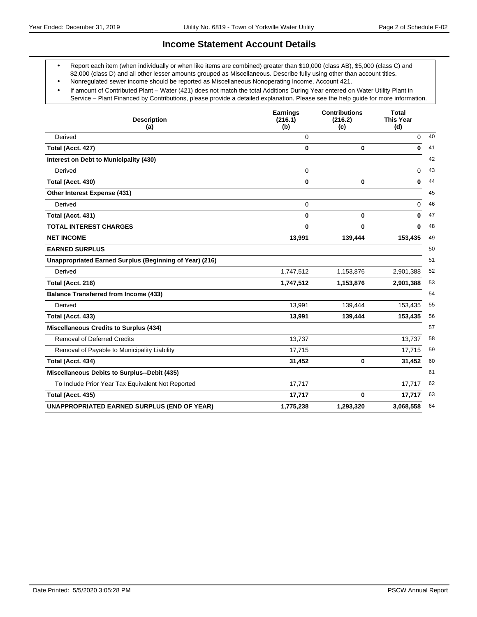### **Income Statement Account Details**

- Report each item (when individually or when like items are combined) greater than \$10,000 (class AB), \$5,000 (class C) and \$2,000 (class D) and all other lesser amounts grouped as Miscellaneous. Describe fully using other than account titles.
- Nonregulated sewer income should be reported as Miscellaneous Nonoperating Income, Account 421.
- If amount of Contributed Plant Water (421) does not match the total Additions During Year entered on Water Utility Plant in Service - Plant Financed by Contributions, please provide a detailed explanation. Please see the help guide for more information.

| <b>Description</b><br>(a)                               | <b>Earnings</b><br>(216.1)<br>(b) | <b>Contributions</b><br>(216.2)<br>(c) | Total<br><b>This Year</b><br>(d) |
|---------------------------------------------------------|-----------------------------------|----------------------------------------|----------------------------------|
| Derived                                                 | $\Omega$                          |                                        | 40<br>0                          |
| Total (Acct. 427)                                       | $\bf{0}$                          | 0                                      | $\bf{0}$<br>41                   |
| Interest on Debt to Municipality (430)                  |                                   |                                        | 42                               |
| Derived                                                 | 0                                 |                                        | 43<br>0                          |
| Total (Acct. 430)                                       | 0                                 | 0                                      | $\bf{0}$<br>44                   |
| Other Interest Expense (431)                            |                                   |                                        | 45                               |
| Derived                                                 | 0                                 |                                        | 46<br>0                          |
| Total (Acct. 431)                                       | 0                                 | 0                                      | $\bf{0}$<br>47                   |
| <b>TOTAL INTEREST CHARGES</b>                           | $\bf{0}$                          | 0                                      | 48<br>0                          |
| <b>NET INCOME</b>                                       | 13,991                            | 139,444                                | 153,435<br>49                    |
| <b>EARNED SURPLUS</b>                                   |                                   |                                        | 50                               |
| Unappropriated Earned Surplus (Beginning of Year) (216) |                                   |                                        | 51                               |
| Derived                                                 | 1,747,512                         | 1,153,876                              | 52<br>2,901,388                  |
| Total (Acct. 216)                                       | 1,747,512                         | 1,153,876                              | 53<br>2,901,388                  |
| <b>Balance Transferred from Income (433)</b>            |                                   |                                        | 54                               |
| Derived                                                 | 13,991                            | 139,444                                | 55<br>153,435                    |
| Total (Acct. 433)                                       | 13,991                            | 139,444                                | 56<br>153,435                    |
| <b>Miscellaneous Credits to Surplus (434)</b>           |                                   |                                        | 57                               |
| <b>Removal of Deferred Credits</b>                      | 13,737                            |                                        | 58<br>13.737                     |
| Removal of Payable to Municipality Liability            | 17,715                            |                                        | 17,715<br>59                     |
| Total (Acct. 434)                                       | 31,452                            | 0                                      | 60<br>31,452                     |
| Miscellaneous Debits to Surplus--Debit (435)            |                                   |                                        | 61                               |
| To Include Prior Year Tax Equivalent Not Reported       | 17,717                            |                                        | 17,717<br>62                     |
| Total (Acct. 435)                                       | 17,717                            | 0                                      | 17,717<br>63                     |
| <b>UNAPPROPRIATED EARNED SURPLUS (END OF YEAR)</b>      | 1,775,238                         | 1,293,320                              | 3,068,558<br>64                  |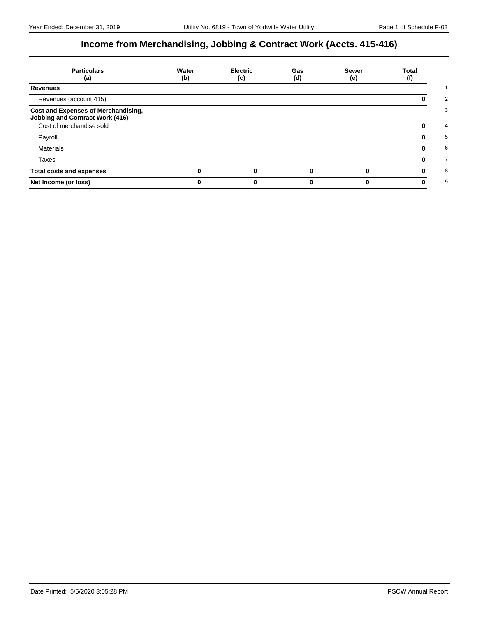# **Income from Merchandising, Jobbing & Contract Work (Accts. 415-416)**

| <b>Particulars</b><br>(a)                                                     | Water<br>(b) | <b>Electric</b><br>(c) | Gas<br>(d) | <b>Sewer</b><br>(e) | Total<br>(f) |
|-------------------------------------------------------------------------------|--------------|------------------------|------------|---------------------|--------------|
| <b>Revenues</b>                                                               |              |                        |            |                     |              |
| Revenues (account 415)                                                        |              |                        |            |                     |              |
| Cost and Expenses of Merchandising,<br><b>Jobbing and Contract Work (416)</b> |              |                        |            |                     |              |
| Cost of merchandise sold                                                      |              |                        |            |                     |              |
| Payroll                                                                       |              |                        |            |                     |              |
| <b>Materials</b>                                                              |              |                        |            |                     |              |
| Taxes                                                                         |              |                        |            |                     |              |
| <b>Total costs and expenses</b>                                               |              |                        |            |                     |              |
| Net Income (or loss)                                                          |              |                        |            |                     |              |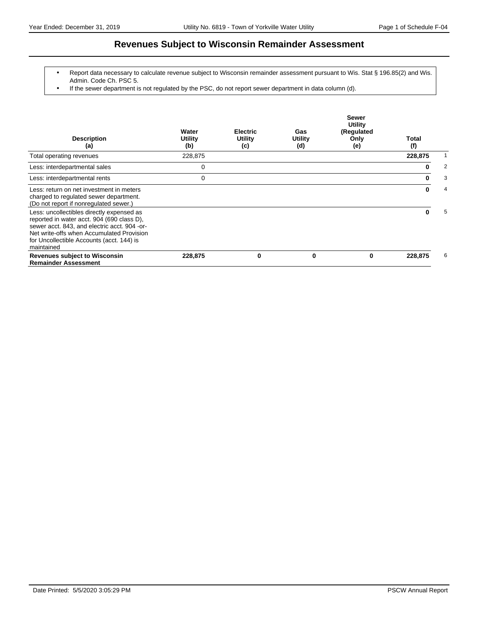### **Revenues Subject to Wisconsin Remainder Assessment**

- Report data necessary to calculate revenue subject to Wisconsin remainder assessment pursuant to Wis. Stat § 196.85(2) and Wis. Admin. Code Ch. PSC 5.
- If the sewer department is not regulated by the PSC, do not report sewer department in data column (d).

| <b>Description</b><br>(a)                                                                                                                                                                                                                       | Water<br>Utility<br>(b) | <b>Electric</b><br>Utility<br>(c) | Gas<br><b>Utility</b><br>(d) | <b>Sewer</b><br><b>Utility</b><br>(Regulated<br>Only<br>(e) | Total<br>(f) |   |
|-------------------------------------------------------------------------------------------------------------------------------------------------------------------------------------------------------------------------------------------------|-------------------------|-----------------------------------|------------------------------|-------------------------------------------------------------|--------------|---|
| Total operating revenues                                                                                                                                                                                                                        | 228,875                 |                                   |                              |                                                             | 228,875      |   |
| Less: interdepartmental sales                                                                                                                                                                                                                   | 0                       |                                   |                              |                                                             | 0            | 2 |
| Less: interdepartmental rents                                                                                                                                                                                                                   | 0                       |                                   |                              |                                                             | 0            | 3 |
| Less: return on net investment in meters<br>charged to regulated sewer department.<br>(Do not report if nonregulated sewer.)                                                                                                                    |                         |                                   |                              |                                                             | 0            | 4 |
| Less: uncollectibles directly expensed as<br>reported in water acct. 904 (690 class D),<br>sewer acct. 843, and electric acct. 904 -or-<br>Net write-offs when Accumulated Provision<br>for Uncollectible Accounts (acct. 144) is<br>maintained |                         |                                   |                              |                                                             | ŋ            | 5 |
| <b>Revenues subject to Wisconsin</b><br><b>Remainder Assessment</b>                                                                                                                                                                             | 228,875                 | 0                                 | 0                            | 0                                                           | 228,875      | 6 |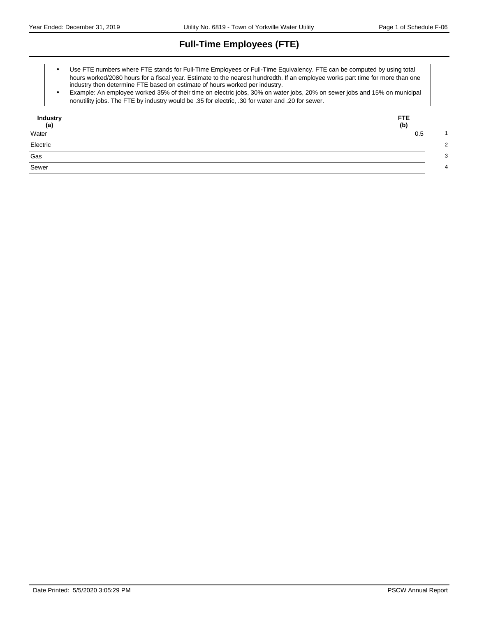# **Full-Time Employees (FTE)**

- Use FTE numbers where FTE stands for Full-Time Employees or Full-Time Equivalency. FTE can be computed by using total hours worked/2080 hours for a fiscal year. Estimate to the nearest hundredth. If an employee works part time for more than one industry then determine FTE based on estimate of hours worked per industry.
- Example: An employee worked 35% of their time on electric jobs, 30% on water jobs, 20% on sewer jobs and 15% on municipal nonutility jobs. The FTE by industry would be .35 for electric, .30 for water and .20 for sewer.

| Industry     | FTE.<br>(b) |
|--------------|-------------|
| (a)<br>Water | 0.5         |
| Electric     |             |
| Gas          |             |
| Sewer        |             |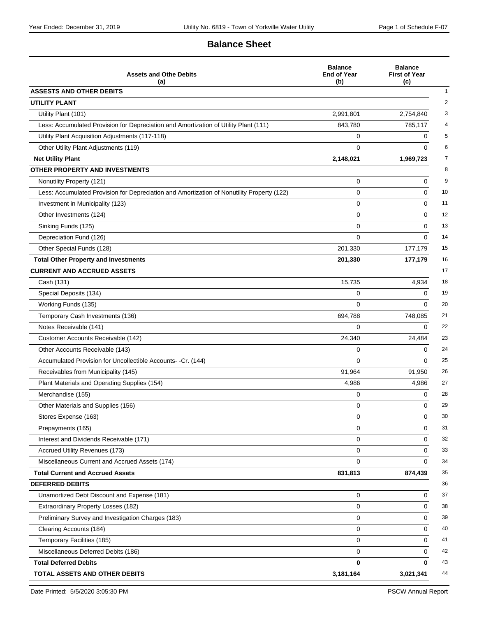### **Balance Sheet**

| <b>Assets and Othe Debits</b><br>(a)                                                       | <b>Balance</b><br><b>End of Year</b><br>(b) | <b>Balance</b><br><b>First of Year</b><br>(c) |
|--------------------------------------------------------------------------------------------|---------------------------------------------|-----------------------------------------------|
| <b>ASSESTS AND OTHER DEBITS</b>                                                            |                                             |                                               |
| <b>UTILITY PLANT</b>                                                                       |                                             |                                               |
| Utility Plant (101)                                                                        | 2,991,801                                   | 2,754,840                                     |
| Less: Accumulated Provision for Depreciation and Amortization of Utility Plant (111)       | 843,780                                     | 785,117                                       |
| Utility Plant Acquisition Adjustments (117-118)                                            | 0                                           | 0                                             |
| Other Utility Plant Adjustments (119)                                                      | $\Omega$                                    | $\Omega$                                      |
| <b>Net Utility Plant</b>                                                                   | 2,148,021                                   | 1,969,723                                     |
| OTHER PROPERTY AND INVESTMENTS                                                             |                                             |                                               |
| Nonutility Property (121)                                                                  | 0                                           | $\mathbf 0$                                   |
| Less: Accumulated Provision for Depreciation and Amortization of Nonutility Property (122) | 0                                           | 0                                             |
| Investment in Municipality (123)                                                           | 0                                           | $\mathbf 0$                                   |
| Other Investments (124)                                                                    | 0                                           | 0                                             |
| Sinking Funds (125)                                                                        | 0                                           | 0                                             |
| Depreciation Fund (126)                                                                    | $\Omega$                                    | $\Omega$                                      |
| Other Special Funds (128)                                                                  | 201,330                                     | 177,179                                       |
| <b>Total Other Property and Investments</b>                                                | 201,330                                     | 177,179                                       |
| <b>CURRENT AND ACCRUED ASSETS</b>                                                          |                                             |                                               |
| Cash (131)                                                                                 | 15,735                                      | 4,934                                         |
| Special Deposits (134)                                                                     | 0                                           | $\Omega$                                      |
| Working Funds (135)                                                                        | 0                                           | $\Omega$                                      |
| Temporary Cash Investments (136)                                                           | 694,788                                     | 748,085                                       |
| Notes Receivable (141)                                                                     | 0                                           | 0                                             |
| Customer Accounts Receivable (142)                                                         | 24,340                                      | 24,484                                        |
| Other Accounts Receivable (143)                                                            | 0                                           | $\Omega$                                      |
| Accumulated Provision for Uncollectible Accounts- -Cr. (144)                               | $\Omega$                                    | $\Omega$                                      |
| Receivables from Municipality (145)                                                        | 91,964                                      | 91,950                                        |
| Plant Materials and Operating Supplies (154)                                               | 4,986                                       | 4,986                                         |
| Merchandise (155)                                                                          | 0                                           | 0                                             |
| Other Materials and Supplies (156)                                                         | 0                                           | $\Omega$                                      |
| Stores Expense (163)                                                                       | 0                                           | 0                                             |
| Prepayments (165)                                                                          | 0                                           | 0                                             |
| Interest and Dividends Receivable (171)                                                    | 0                                           | 0                                             |
| Accrued Utility Revenues (173)                                                             | 0                                           | $\mathbf 0$                                   |
| Miscellaneous Current and Accrued Assets (174)                                             | 0                                           | $\Omega$                                      |
| <b>Total Current and Accrued Assets</b>                                                    | 831,813                                     | 874,439                                       |
| <b>DEFERRED DEBITS</b>                                                                     |                                             |                                               |
| Unamortized Debt Discount and Expense (181)                                                | 0                                           | 0                                             |
| Extraordinary Property Losses (182)                                                        | 0                                           | 0                                             |
| Preliminary Survey and Investigation Charges (183)                                         | 0                                           | 0                                             |
| Clearing Accounts (184)                                                                    | 0                                           | 0                                             |
| Temporary Facilities (185)                                                                 | 0                                           | $\Omega$                                      |
| Miscellaneous Deferred Debits (186)                                                        | 0                                           | 0                                             |
| <b>Total Deferred Debits</b>                                                               | 0                                           | 0                                             |
| TOTAL ASSETS AND OTHER DEBITS                                                              | 3,181,164                                   | 3,021,341                                     |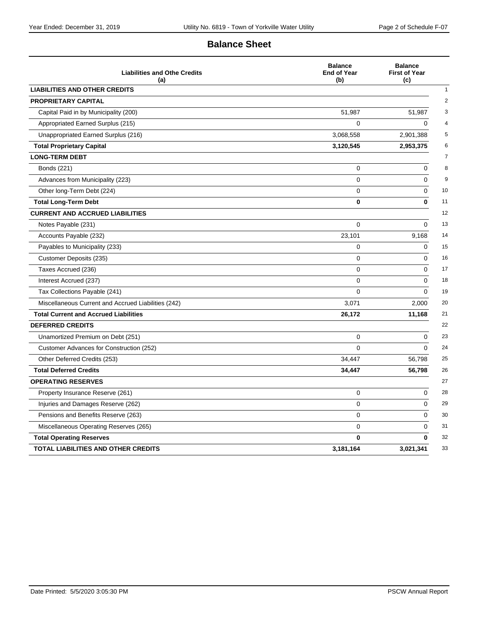### **Balance Sheet**

| <b>Liabilities and Othe Credits</b><br>(a)          | <b>Balance</b><br><b>End of Year</b><br>(b) | <b>Balance</b><br><b>First of Year</b><br>(c) |
|-----------------------------------------------------|---------------------------------------------|-----------------------------------------------|
| <b>LIABILITIES AND OTHER CREDITS</b>                |                                             |                                               |
| <b>PROPRIETARY CAPITAL</b>                          |                                             |                                               |
| Capital Paid in by Municipality (200)               | 51,987                                      | 51,987                                        |
| Appropriated Earned Surplus (215)                   | $\mathbf 0$                                 | 0                                             |
| Unappropriated Earned Surplus (216)                 | 3,068,558                                   | 2,901,388                                     |
| <b>Total Proprietary Capital</b>                    | 3,120,545                                   | 2,953,375                                     |
| <b>LONG-TERM DEBT</b>                               |                                             |                                               |
| Bonds (221)                                         | 0                                           | $\Omega$                                      |
| Advances from Municipality (223)                    | 0                                           | 0                                             |
| Other long-Term Debt (224)                          | 0                                           | $\mathbf 0$                                   |
| <b>Total Long-Term Debt</b>                         | $\mathbf{0}$                                | $\bf{0}$                                      |
| <b>CURRENT AND ACCRUED LIABILITIES</b>              |                                             |                                               |
| Notes Payable (231)                                 | 0                                           | 0                                             |
| Accounts Payable (232)                              | 23,101                                      | 9,168                                         |
| Payables to Municipality (233)                      | $\mathbf 0$                                 | 0                                             |
| Customer Deposits (235)                             | $\Omega$                                    | $\Omega$                                      |
| Taxes Accrued (236)                                 | 0                                           | $\mathbf 0$                                   |
| Interest Accrued (237)                              | $\mathbf 0$                                 | $\Omega$                                      |
| Tax Collections Payable (241)                       | $\mathbf 0$                                 | $\Omega$                                      |
| Miscellaneous Current and Accrued Liabilities (242) | 3,071                                       | 2,000                                         |
| <b>Total Current and Accrued Liabilities</b>        | 26,172                                      | 11,168                                        |
| <b>DEFERRED CREDITS</b>                             |                                             |                                               |
| Unamortized Premium on Debt (251)                   | $\mathbf 0$                                 | $\Omega$                                      |
| Customer Advances for Construction (252)            | $\Omega$                                    | $\Omega$                                      |
| Other Deferred Credits (253)                        | 34,447                                      | 56,798                                        |
| <b>Total Deferred Credits</b>                       | 34,447                                      | 56,798                                        |
| <b>OPERATING RESERVES</b>                           |                                             |                                               |
| Property Insurance Reserve (261)                    | 0                                           | $\Omega$                                      |
| Injuries and Damages Reserve (262)                  | 0                                           | $\Omega$                                      |
| Pensions and Benefits Reserve (263)                 | $\mathbf 0$                                 | 0                                             |
| Miscellaneous Operating Reserves (265)              | 0                                           | $\Omega$                                      |
| <b>Total Operating Reserves</b>                     | $\mathbf{0}$                                | 0                                             |
| <b>TOTAL LIABILITIES AND OTHER CREDITS</b>          | 3,181,164                                   | 3,021,341                                     |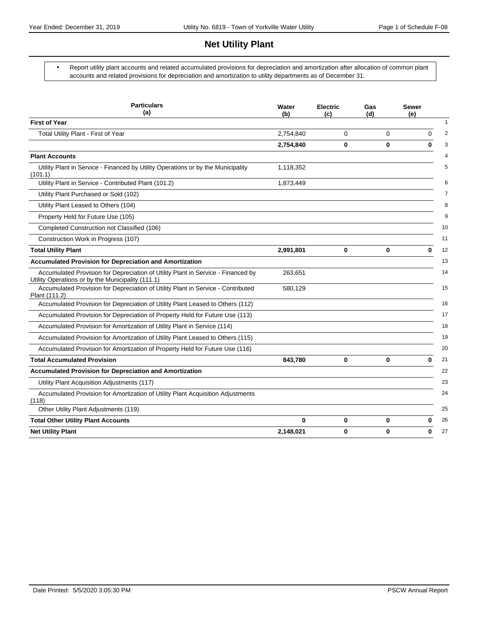# **Net Utility Plant**

 Report utility plant accounts and related accumulated provisions for depreciation and amortization after allocation of common plant accounts and related provisions for depreciation and amortization to utility departments as of December 31.

| <b>Particulars</b><br>(a)                                                                                                             | Water<br>(b) | <b>Electric</b><br>(c) | Gas<br>(d) | <b>Sewer</b><br>(e) |
|---------------------------------------------------------------------------------------------------------------------------------------|--------------|------------------------|------------|---------------------|
| <b>First of Year</b>                                                                                                                  |              |                        |            |                     |
| Total Utility Plant - First of Year                                                                                                   | 2,754,840    | 0                      | 0          | $\Omega$            |
|                                                                                                                                       | 2,754,840    | 0                      | 0          | $\bf{0}$            |
| <b>Plant Accounts</b>                                                                                                                 |              |                        |            |                     |
| Utility Plant in Service - Financed by Utility Operations or by the Municipality<br>(101.1)                                           | 1,118,352    |                        |            |                     |
| Utility Plant in Service - Contributed Plant (101.2)                                                                                  | 1,873,449    |                        |            |                     |
| Utility Plant Purchased or Sold (102)                                                                                                 |              |                        |            |                     |
| Utility Plant Leased to Others (104)                                                                                                  |              |                        |            |                     |
| Property Held for Future Use (105)                                                                                                    |              |                        |            |                     |
| Completed Construction not Classified (106)                                                                                           |              |                        |            |                     |
| Construction Work in Progress (107)                                                                                                   |              |                        |            |                     |
| <b>Total Utility Plant</b>                                                                                                            | 2,991,801    | 0                      | 0          | 0                   |
| <b>Accumulated Provision for Depreciation and Amortization</b>                                                                        |              |                        |            |                     |
| Accumulated Provision for Depreciation of Utility Plant in Service - Financed by<br>Utility Operations or by the Municipality (111.1) | 263,651      |                        |            |                     |
| Accumulated Provision for Depreciation of Utility Plant in Service - Contributed<br>Plant (111.2)                                     | 580,129      |                        |            |                     |
| Accumulated Provision for Depreciation of Utility Plant Leased to Others (112)                                                        |              |                        |            |                     |
| Accumulated Provision for Depreciation of Property Held for Future Use (113)                                                          |              |                        |            |                     |
| Accumulated Provision for Amortization of Utility Plant in Service (114)                                                              |              |                        |            |                     |
| Accumulated Provision for Amortization of Utility Plant Leased to Others (115)                                                        |              |                        |            |                     |
| Accumulated Provision for Amortization of Property Held for Future Use (116)                                                          |              |                        |            |                     |
| <b>Total Accumulated Provision</b>                                                                                                    | 843,780      | 0                      | 0          | $\bf{0}$            |
| <b>Accumulated Provision for Depreciation and Amortization</b>                                                                        |              |                        |            |                     |
| Utility Plant Acquisition Adjustments (117)                                                                                           |              |                        |            |                     |
| Accumulated Provision for Amortization of Utility Plant Acquisition Adjustments<br>(118)                                              |              |                        |            |                     |
| Other Utility Plant Adjustments (119)                                                                                                 |              |                        |            |                     |
| <b>Total Other Utility Plant Accounts</b>                                                                                             | 0            | 0                      | 0          | 0                   |
| <b>Net Utility Plant</b>                                                                                                              | 2,148,021    | 0                      | 0          | 0                   |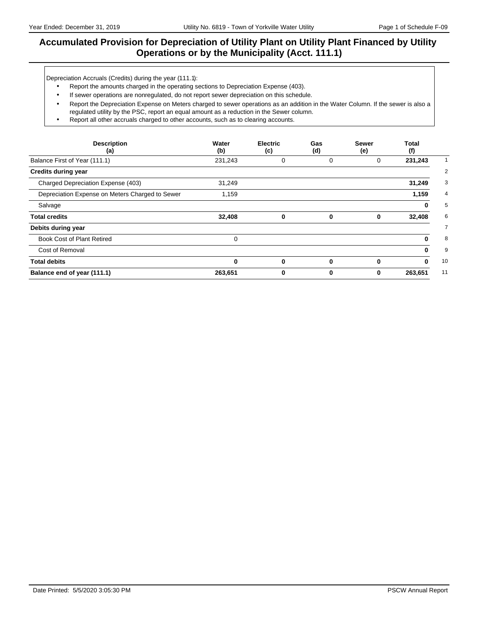### **Accumulated Provision for Depreciation of Utility Plant on Utility Plant Financed by Utility Operations or by the Municipality (Acct. 111.1)**

Depreciation Accruals (Credits) during the year (111.1):

- Report the amounts charged in the operating sections to Depreciation Expense (403).
- If sewer operations are nonregulated, do not report sewer depreciation on this schedule.
- Report the Depreciation Expense on Meters charged to sewer operations as an addition in the Water Column. If the sewer is also a regulated utility by the PSC, report an equal amount as a reduction in the Sewer column.
- Report all other accruals charged to other accounts, such as to clearing accounts.

| <b>Description</b><br>(a)                       | Water<br>(b) | <b>Electric</b><br>(c) | Gas<br>(d) | <b>Sewer</b><br>(e) | Total<br>(f) |
|-------------------------------------------------|--------------|------------------------|------------|---------------------|--------------|
| Balance First of Year (111.1)                   | 231,243      | 0                      | 0          | 0                   | 231,243      |
| <b>Credits during year</b>                      |              |                        |            |                     |              |
| Charged Depreciation Expense (403)              | 31,249       |                        |            |                     | 31,249       |
| Depreciation Expense on Meters Charged to Sewer | 1,159        |                        |            |                     | 1,159        |
| Salvage                                         |              |                        |            |                     | 0            |
| <b>Total credits</b>                            | 32,408       | 0                      | $\bf{0}$   | 0                   | 32,408       |
| Debits during year                              |              |                        |            |                     |              |
| <b>Book Cost of Plant Retired</b>               | $\Omega$     |                        |            |                     | 0            |
| Cost of Removal                                 |              |                        |            |                     | 0            |
| <b>Total debits</b>                             | $\bf{0}$     | 0                      | $\bf{0}$   | 0                   | 0            |
| Balance end of year (111.1)                     | 263,651      | 0                      | 0          | 0                   | 263,651      |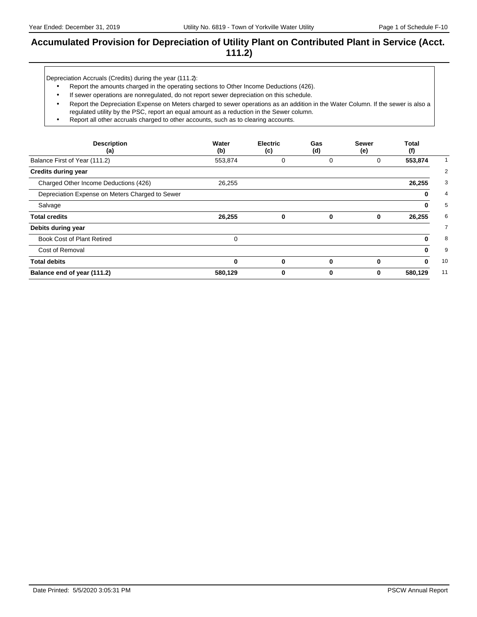### **Accumulated Provision for Depreciation of Utility Plant on Contributed Plant in Service (Acct. 111.2)**

Depreciation Accruals (Credits) during the year (111.2):

- Report the amounts charged in the operating sections to Other Income Deductions (426).
- If sewer operations are nonregulated, do not report sewer depreciation on this schedule.
- Report the Depreciation Expense on Meters charged to sewer operations as an addition in the Water Column. If the sewer is also a regulated utility by the PSC, report an equal amount as a reduction in the Sewer column.
- Report all other accruals charged to other accounts, such as to clearing accounts.

| <b>Description</b><br>(a)                       | Water<br>(b) | <b>Electric</b><br>(c) | Gas<br>(d) | <b>Sewer</b><br>(e) | Total<br>(f) |
|-------------------------------------------------|--------------|------------------------|------------|---------------------|--------------|
| Balance First of Year (111.2)                   | 553,874      | 0                      | 0          | 0                   | 553,874      |
| <b>Credits during year</b>                      |              |                        |            |                     |              |
| Charged Other Income Deductions (426)           | 26,255       |                        |            |                     | 26,255       |
| Depreciation Expense on Meters Charged to Sewer |              |                        |            |                     | 0            |
| Salvage                                         |              |                        |            |                     | 0            |
| <b>Total credits</b>                            | 26,255       | $\bf{0}$               | 0          | 0                   | 26,255       |
| Debits during year                              |              |                        |            |                     |              |
| Book Cost of Plant Retired                      | 0            |                        |            |                     | 0            |
| Cost of Removal                                 |              |                        |            |                     | 0            |
| <b>Total debits</b>                             | $\bf{0}$     | 0                      | $\bf{0}$   | 0                   | 0            |
| Balance end of year (111.2)                     | 580,129      | 0                      | 0          | 0                   | 580,129      |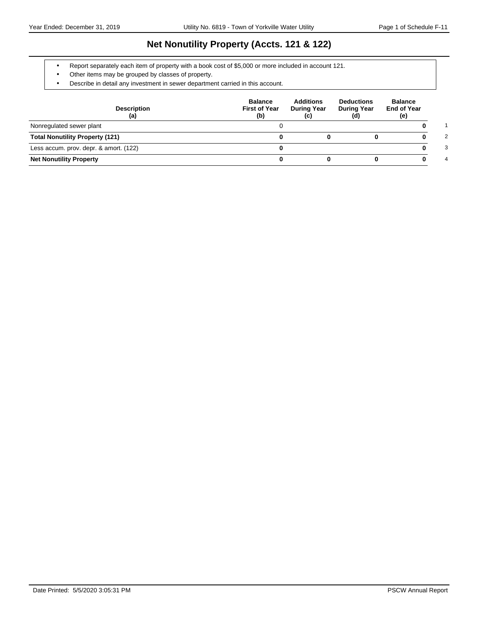### **Net Nonutility Property (Accts. 121 & 122)**

- Report separately each item of property with a book cost of \$5,000 or more included in account 121.
- Other items may be grouped by classes of property.
- Describe in detail any investment in sewer department carried in this account.

| <b>Description</b><br>(a)              | <b>Balance</b><br><b>First of Year</b><br>(b) | <b>Additions</b><br><b>During Year</b><br>(c) | <b>Deductions</b><br><b>During Year</b><br>(d) | <b>Balance</b><br><b>End of Year</b><br>(e) |
|----------------------------------------|-----------------------------------------------|-----------------------------------------------|------------------------------------------------|---------------------------------------------|
| Nonregulated sewer plant               |                                               |                                               |                                                |                                             |
| <b>Total Nonutility Property (121)</b> |                                               |                                               |                                                | 2                                           |
| Less accum. prov. depr. & amort. (122) |                                               |                                               |                                                | 3                                           |
| <b>Net Nonutility Property</b>         |                                               |                                               |                                                | 4                                           |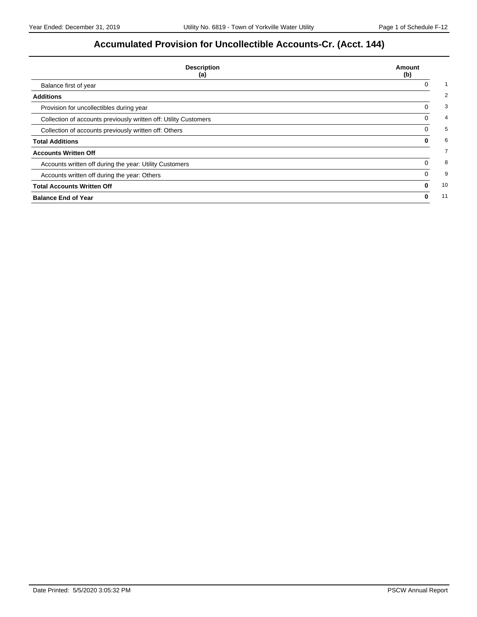# **Accumulated Provision for Uncollectible Accounts-Cr. (Acct. 144)**

| <b>Description</b><br>(a)                                        | Amount<br>(b) |
|------------------------------------------------------------------|---------------|
| Balance first of year                                            |               |
| <b>Additions</b>                                                 |               |
| Provision for uncollectibles during year                         | 0             |
| Collection of accounts previously written off: Utility Customers | 0             |
| Collection of accounts previously written off: Others            | 0             |
| <b>Total Additions</b>                                           | 0             |
| <b>Accounts Written Off</b>                                      |               |
| Accounts written off during the year: Utility Customers          | 0             |
| Accounts written off during the year: Others                     | 0             |
| <b>Total Accounts Written Off</b>                                | 0             |
| <b>Balance End of Year</b>                                       | 0             |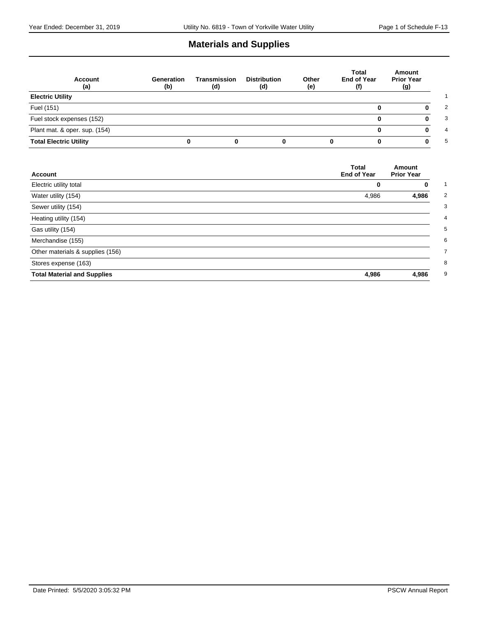# **Materials and Supplies**

| <b>Account</b><br>(a)         | Generation<br>(b) | Transmission<br>(d) | <b>Distribution</b><br>(d) | Other<br>(e) | Total<br><b>End of Year</b><br>(f) | Amount<br><b>Prior Year</b><br>(g) |
|-------------------------------|-------------------|---------------------|----------------------------|--------------|------------------------------------|------------------------------------|
| <b>Electric Utility</b>       |                   |                     |                            |              |                                    |                                    |
| Fuel (151)                    |                   |                     |                            |              | o                                  |                                    |
| Fuel stock expenses (152)     |                   |                     |                            |              | 0                                  |                                    |
| Plant mat. & oper. sup. (154) |                   |                     |                            |              |                                    |                                    |
| <b>Total Electric Utility</b> | 0                 |                     |                            |              |                                    |                                    |

| <b>Account</b>                     | <b>Total</b><br><b>End of Year</b> | Amount<br><b>Prior Year</b> |
|------------------------------------|------------------------------------|-----------------------------|
| Electric utility total             | 0                                  | 0                           |
| Water utility (154)                | 4,986                              | 4,986                       |
| Sewer utility (154)                |                                    |                             |
| Heating utility (154)              |                                    |                             |
| Gas utility (154)                  |                                    |                             |
| Merchandise (155)                  |                                    |                             |
| Other materials & supplies (156)   |                                    |                             |
| Stores expense (163)               |                                    |                             |
| <b>Total Material and Supplies</b> | 4,986                              | 4,986                       |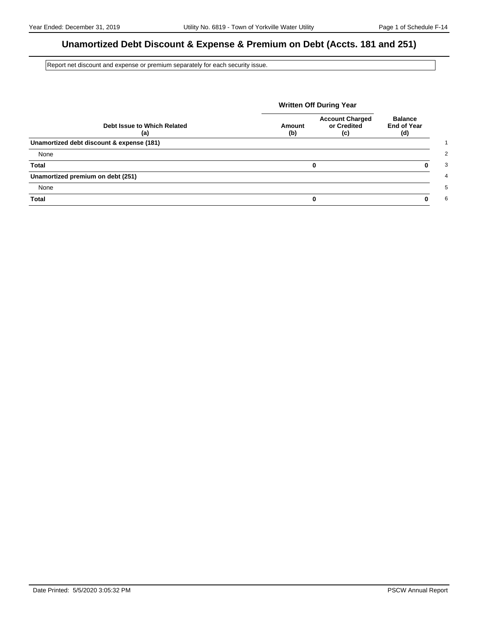# **Unamortized Debt Discount & Expense & Premium on Debt (Accts. 181 and 251)**

Report net discount and expense or premium separately for each security issue.

|                                           | <b>Written Off During Year</b> |                                              |                                             |
|-------------------------------------------|--------------------------------|----------------------------------------------|---------------------------------------------|
| Debt Issue to Which Related<br>(a)        | Amount<br>(b)                  | <b>Account Charged</b><br>or Credited<br>(c) | <b>Balance</b><br><b>End of Year</b><br>(d) |
| Unamortized debt discount & expense (181) |                                |                                              |                                             |
| None                                      |                                |                                              |                                             |
| <b>Total</b>                              |                                | 0                                            | 0                                           |
| Unamortized premium on debt (251)         |                                |                                              |                                             |
| None                                      |                                |                                              |                                             |
| <b>Total</b>                              |                                | 0                                            | ŋ                                           |

Date Printed: 5/5/2020 3:05:32 PM PSCW Annual Report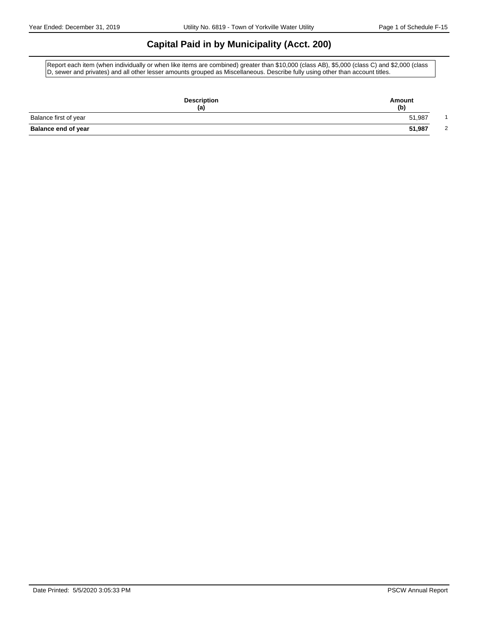## **Capital Paid in by Municipality (Acct. 200)**

Report each item (when individually or when like items are combined) greater than \$10,000 (class AB), \$5,000 (class C) and \$2,000 (class D, sewer and privates) and all other lesser amounts grouped as Miscellaneous. Describe fully using other than account titles.

| <b>Description</b><br>(a)  | Amount<br>(b) |
|----------------------------|---------------|
| Balance first of year      | 51,987        |
| <b>Balance end of year</b> | 51,987<br>2   |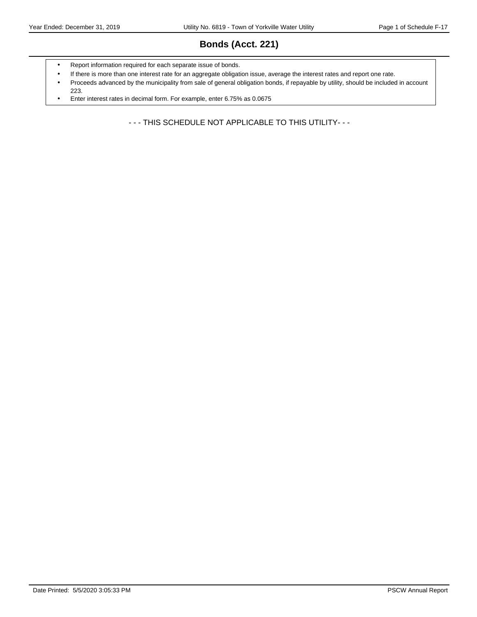# **Bonds (Acct. 221)**

- Report information required for each separate issue of bonds.
- If there is more than one interest rate for an aggregate obligation issue, average the interest rates and report one rate.
- Proceeds advanced by the municipality from sale of general obligation bonds, if repayable by utility, should be included in account 223.
- Enter interest rates in decimal form. For example, enter 6.75% as 0.0675

- - - THIS SCHEDULE NOT APPLICABLE TO THIS UTILITY- - -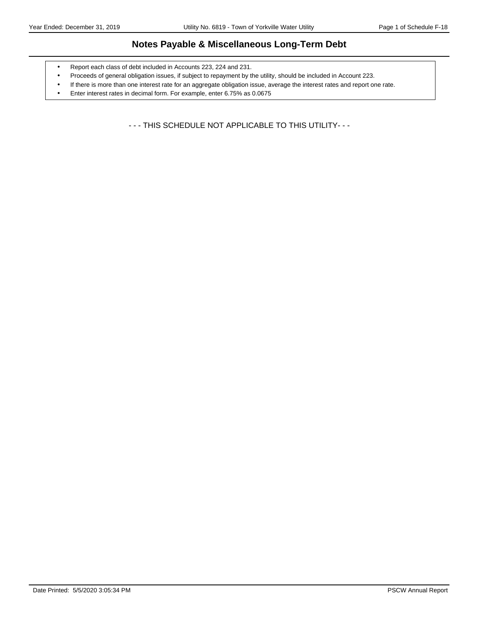### **Notes Payable & Miscellaneous Long-Term Debt**

- Report each class of debt included in Accounts 223, 224 and 231.
- Proceeds of general obligation issues, if subject to repayment by the utility, should be included in Account 223.
- If there is more than one interest rate for an aggregate obligation issue, average the interest rates and report one rate.
- Enter interest rates in decimal form. For example, enter 6.75% as 0.0675

- - - THIS SCHEDULE NOT APPLICABLE TO THIS UTILITY- - -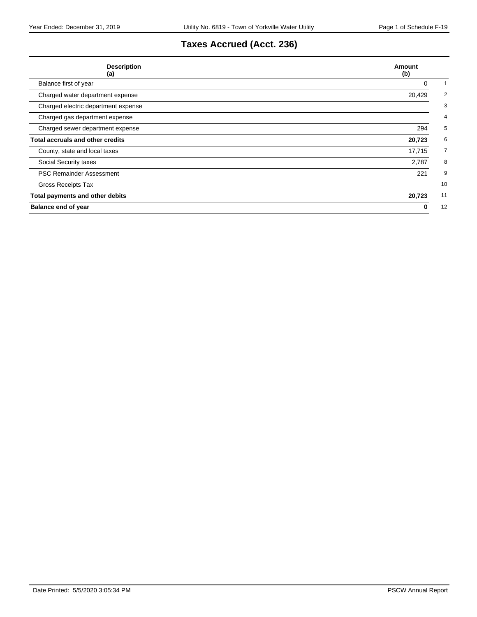# **Taxes Accrued (Acct. 236)**

| <b>Description</b><br>(a)               | Amount<br>(b) |
|-----------------------------------------|---------------|
| Balance first of year                   | 0             |
| Charged water department expense        | 20,429        |
| Charged electric department expense     |               |
| Charged gas department expense          |               |
| Charged sewer department expense        | 294           |
| <b>Total accruals and other credits</b> | 20,723        |
| County, state and local taxes           | 17,715        |
| Social Security taxes                   | 2,787         |
| <b>PSC Remainder Assessment</b>         | 221           |
| Gross Receipts Tax                      | 10            |
| Total payments and other debits         | 11<br>20,723  |
| <b>Balance end of year</b>              | 12<br>0       |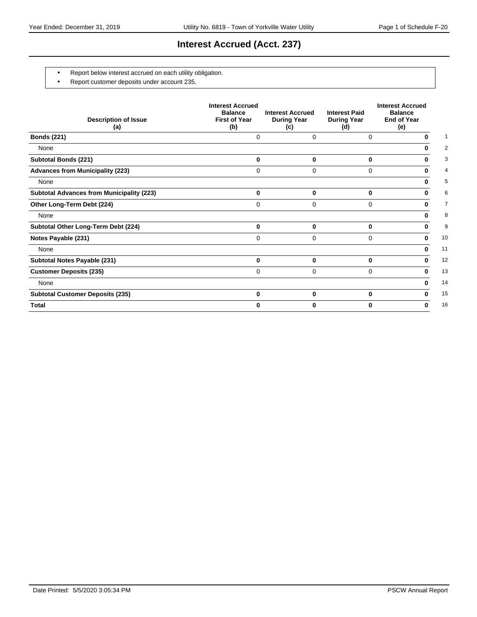### **Interest Accrued (Acct. 237)**

- Report below interest accrued on each utility obligation.
- Report customer deposits under account 235.

| <b>Description of Issue</b><br>(a)               | <b>Interest Accrued</b><br><b>Balance</b><br><b>First of Year</b><br>(b) | <b>Interest Accrued</b><br><b>During Year</b><br>(c) | <b>Interest Paid</b><br><b>During Year</b><br>(d) | <b>Interest Accrued</b><br><b>Balance</b><br><b>End of Year</b><br>(e) |
|--------------------------------------------------|--------------------------------------------------------------------------|------------------------------------------------------|---------------------------------------------------|------------------------------------------------------------------------|
| <b>Bonds (221)</b>                               | 0                                                                        | 0                                                    | 0                                                 | 0                                                                      |
| None                                             |                                                                          |                                                      |                                                   | 0                                                                      |
| <b>Subtotal Bonds (221)</b>                      | 0                                                                        | 0                                                    | 0                                                 | 0                                                                      |
| <b>Advances from Municipality (223)</b>          | 0                                                                        | 0                                                    | 0                                                 | 0                                                                      |
| None                                             |                                                                          |                                                      |                                                   | 0                                                                      |
| <b>Subtotal Advances from Municipality (223)</b> | $\bf{0}$                                                                 | 0                                                    | $\bf{0}$                                          | 0                                                                      |
| Other Long-Term Debt (224)                       | 0                                                                        | 0                                                    | $\Omega$                                          | 0                                                                      |
| None                                             |                                                                          |                                                      |                                                   | 0                                                                      |
| Subtotal Other Long-Term Debt (224)              | $\bf{0}$                                                                 | 0                                                    | 0                                                 | 0                                                                      |
| Notes Payable (231)                              | 0                                                                        | 0                                                    | $\Omega$                                          | 0                                                                      |
| None                                             |                                                                          |                                                      |                                                   | 0                                                                      |
| Subtotal Notes Payable (231)                     | $\bf{0}$                                                                 | 0                                                    | 0                                                 | 0                                                                      |
| <b>Customer Deposits (235)</b>                   | $\Omega$                                                                 | 0                                                    | $\Omega$                                          | 0                                                                      |
| None                                             |                                                                          |                                                      |                                                   | 0                                                                      |
| <b>Subtotal Customer Deposits (235)</b>          | $\bf{0}$                                                                 | $\bf{0}$                                             | 0                                                 | 0                                                                      |
| <b>Total</b>                                     | U                                                                        | 0                                                    | 0                                                 | 0                                                                      |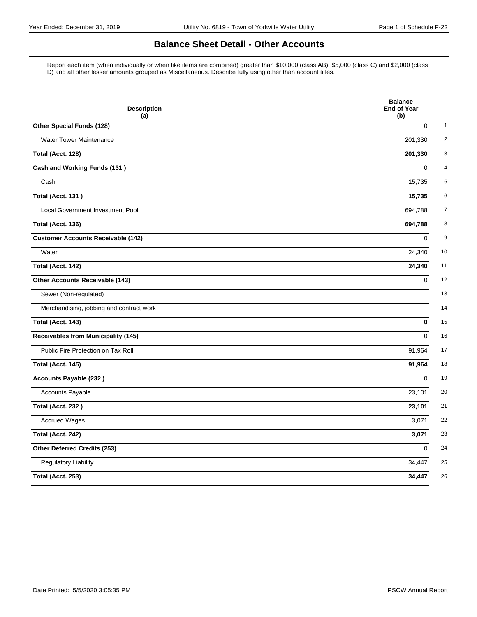### **Balance Sheet Detail - Other Accounts**

Report each item (when individually or when like items are combined) greater than \$10,000 (class AB), \$5,000 (class C) and \$2,000 (class D) and all other lesser amounts grouped as Miscellaneous. Describe fully using other than account titles.

| <b>Description</b><br>(a)                  | <b>Balance</b><br><b>End of Year</b><br>(b) |
|--------------------------------------------|---------------------------------------------|
| Other Special Funds (128)                  | $\mathbf 0$                                 |
| <b>Water Tower Maintenance</b>             | 201,330                                     |
| Total (Acct. 128)                          | 201,330                                     |
| Cash and Working Funds (131)               | $\mathbf 0$                                 |
| Cash                                       | 15,735                                      |
| <b>Total (Acct. 131)</b>                   | 15,735                                      |
| Local Government Investment Pool           | 694,788                                     |
| Total (Acct. 136)                          | 694,788                                     |
| <b>Customer Accounts Receivable (142)</b>  | $\Omega$                                    |
| Water                                      | 24,340                                      |
| Total (Acct. 142)                          | 24,340                                      |
| Other Accounts Receivable (143)            | $\Omega$                                    |
| Sewer (Non-regulated)                      |                                             |
| Merchandising, jobbing and contract work   |                                             |
| Total (Acct. 143)                          | $\bf{0}$                                    |
| <b>Receivables from Municipality (145)</b> | $\Omega$                                    |
| Public Fire Protection on Tax Roll         | 91,964                                      |
| Total (Acct. 145)                          | 91,964                                      |
| <b>Accounts Payable (232)</b>              | $\Omega$                                    |
| Accounts Payable                           | 23,101                                      |
| Total (Acct. 232)                          | 23,101                                      |
| <b>Accrued Wages</b>                       | 3,071                                       |
| Total (Acct. 242)                          | 3,071                                       |
| Other Deferred Credits (253)               | $\Omega$                                    |
| Regulatory Liability                       | 34,447                                      |
| Total (Acct. 253)                          | 34,447                                      |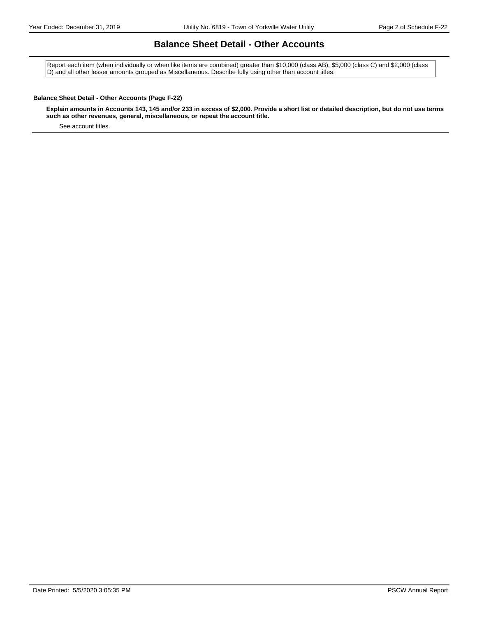### **Balance Sheet Detail - Other Accounts**

Report each item (when individually or when like items are combined) greater than \$10,000 (class AB), \$5,000 (class C) and \$2,000 (class D) and all other lesser amounts grouped as Miscellaneous. Describe fully using other than account titles.

#### **Balance Sheet Detail - Other Accounts (Page F-22)**

**Explain amounts in Accounts 143, 145 and/or 233 in excess of \$2,000. Provide a short list or detailed description, but do not use terms such as other revenues, general, miscellaneous, or repeat the account title.**

See account titles.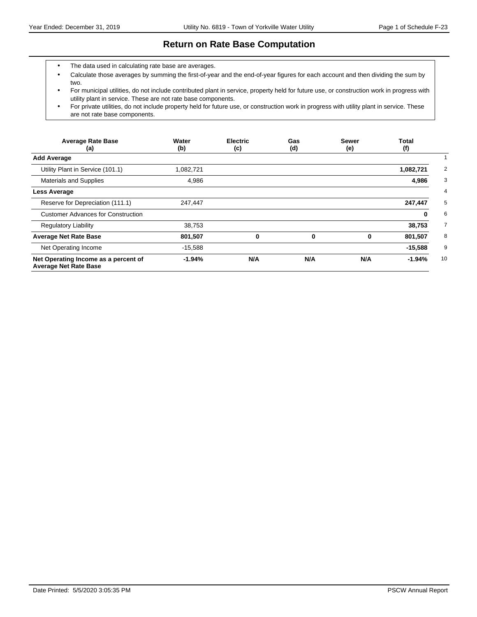### **Return on Rate Base Computation**

- The data used in calculating rate base are averages.
- Calculate those averages by summing the first-of-year and the end-of-year figures for each account and then dividing the sum by two.
- For municipal utilities, do not include contributed plant in service, property held for future use, or construction work in progress with utility plant in service. These are not rate base components.
- For private utilities, do not include property held for future use, or construction work in progress with utility plant in service. These are not rate base components.

| <b>Average Rate Base</b><br>(a)                                      | Water<br>(b) | <b>Electric</b><br>(c) | Gas<br>(d) | <b>Sewer</b><br>(e) | <b>Total</b><br>(f) |
|----------------------------------------------------------------------|--------------|------------------------|------------|---------------------|---------------------|
| <b>Add Average</b>                                                   |              |                        |            |                     |                     |
| Utility Plant in Service (101.1)                                     | 1,082,721    |                        |            |                     | 1,082,721           |
| <b>Materials and Supplies</b>                                        | 4,986        |                        |            |                     | 4,986               |
| Less Average                                                         |              |                        |            |                     |                     |
| Reserve for Depreciation (111.1)                                     | 247,447      |                        |            |                     | 247,447             |
| <b>Customer Advances for Construction</b>                            |              |                        |            |                     | 0                   |
| <b>Regulatory Liability</b>                                          | 38,753       |                        |            |                     | 38,753              |
| <b>Average Net Rate Base</b>                                         | 801,507      | 0                      | 0          | 0                   | 801,507             |
| Net Operating Income                                                 | $-15,588$    |                        |            |                     | $-15,588$           |
| Net Operating Income as a percent of<br><b>Average Net Rate Base</b> | $-1.94%$     | N/A                    | N/A        | N/A                 | 10<br>$-1.94%$      |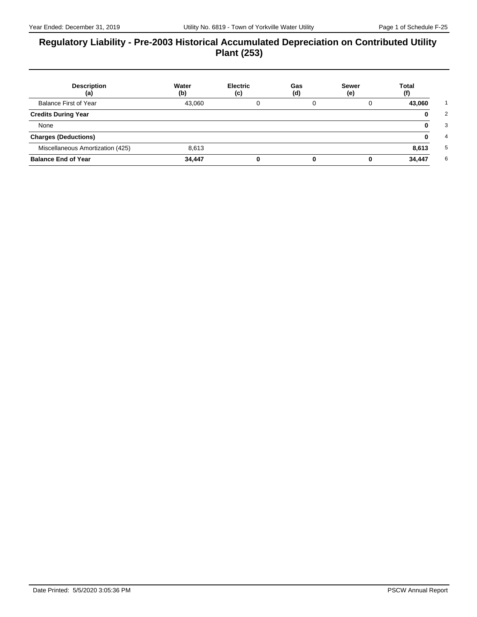### **Regulatory Liability - Pre-2003 Historical Accumulated Depreciation on Contributed Utility Plant (253)**

| <b>Description</b><br>(a)        | Water<br>(b) | <b>Electric</b><br>(c) | Gas<br>(d) | <b>Sewer</b><br>(e) | Total<br>(f) |
|----------------------------------|--------------|------------------------|------------|---------------------|--------------|
| <b>Balance First of Year</b>     | 43,060       |                        |            |                     | 43,060       |
| <b>Credits During Year</b>       |              |                        |            |                     |              |
| None                             |              |                        |            |                     |              |
| <b>Charges (Deductions)</b>      |              |                        |            |                     |              |
| Miscellaneous Amortization (425) | 8,613        |                        |            |                     | 8,613        |
| <b>Balance End of Year</b>       | 34,447       |                        |            |                     | 34,447       |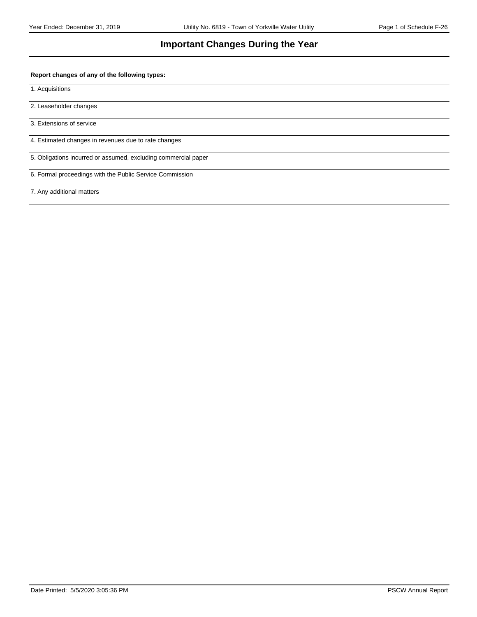### **Important Changes During the Year**

#### **Report changes of any of the following types:**

1. Acquisitions

2. Leaseholder changes

3. Extensions of service

4. Estimated changes in revenues due to rate changes

5. Obligations incurred or assumed, excluding commercial paper

6. Formal proceedings with the Public Service Commission

7. Any additional matters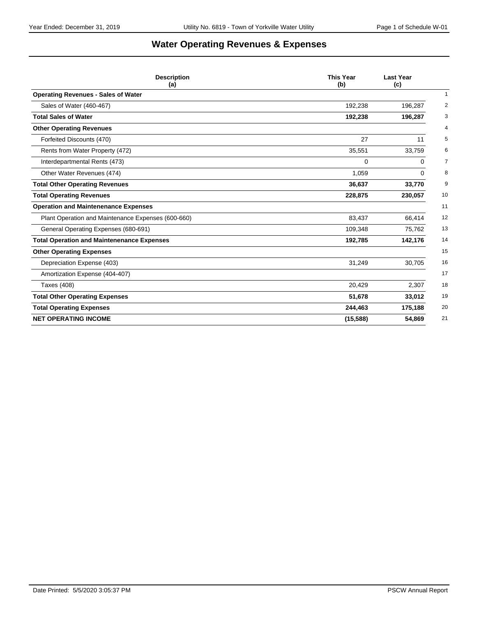# **Water Operating Revenues & Expenses**

| <b>Description</b><br>(a)                          | <b>This Year</b><br>(b) | <b>Last Year</b><br>(c) |
|----------------------------------------------------|-------------------------|-------------------------|
| <b>Operating Revenues - Sales of Water</b>         |                         | $\mathbf{1}$            |
| Sales of Water (460-467)                           | 192,238                 | 2<br>196,287            |
| <b>Total Sales of Water</b>                        | 192,238                 | 3<br>196,287            |
| <b>Other Operating Revenues</b>                    |                         | $\overline{4}$          |
| Forfeited Discounts (470)                          | 27                      | 5<br>11                 |
| Rents from Water Property (472)                    | 35,551                  | 33,759<br>6             |
| Interdepartmental Rents (473)                      | 0                       | 7<br>0                  |
| Other Water Revenues (474)                         | 1,059                   | 8<br>0                  |
| <b>Total Other Operating Revenues</b>              | 36,637                  | 9<br>33,770             |
| <b>Total Operating Revenues</b>                    | 228,875                 | 10<br>230,057           |
| <b>Operation and Maintenenance Expenses</b>        |                         | 11                      |
| Plant Operation and Maintenance Expenses (600-660) | 83,437                  | 12<br>66,414            |
| General Operating Expenses (680-691)               | 109,348                 | 13<br>75,762            |
| <b>Total Operation and Maintenenance Expenses</b>  | 192,785                 | 14<br>142,176           |
| <b>Other Operating Expenses</b>                    |                         | 15                      |
| Depreciation Expense (403)                         | 31,249                  | 30,705<br>16            |
| Amortization Expense (404-407)                     |                         | 17                      |
| Taxes (408)                                        | 20,429                  | 18<br>2,307             |
| <b>Total Other Operating Expenses</b>              | 51,678                  | 19<br>33,012            |
| <b>Total Operating Expenses</b>                    | 244,463                 | 20<br>175,188           |
| <b>NET OPERATING INCOME</b>                        | (15, 588)               | 54,869<br>21            |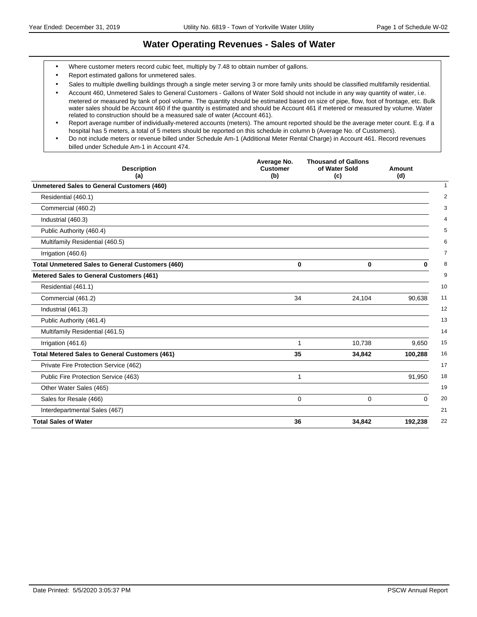### **Water Operating Revenues - Sales of Water**

- Where customer meters record cubic feet, multiply by 7.48 to obtain number of gallons.
- Report estimated gallons for unmetered sales.
- Sales to multiple dwelling buildings through a single meter serving 3 or more family units should be classified multifamily residential.
- Account 460, Unmetered Sales to General Customers Gallons of Water Sold should not include in any way quantity of water, i.e. metered or measured by tank of pool volume. The quantity should be estimated based on size of pipe, flow, foot of frontage, etc. Bulk water sales should be Account 460 if the quantity is estimated and should be Account 461 if metered or measured by volume. Water related to construction should be a measured sale of water (Account 461).
- Report average number of individually-metered accounts (meters). The amount reported should be the average meter count. E.g. if a hospital has 5 meters, a total of 5 meters should be reported on this schedule in column b (Average No. of Customers).
- Do not include meters or revenue billed under Schedule Am-1 (Additional Meter Rental Charge) in Account 461. Record revenues billed under Schedule Am-1 in Account 474.

| <b>Description</b><br>(a)                               | Average No.<br><b>Customer</b><br>(b) | <b>Thousand of Gallons</b><br>of Water Sold<br>(c) | Amount<br>(d) |
|---------------------------------------------------------|---------------------------------------|----------------------------------------------------|---------------|
| <b>Unmetered Sales to General Customers (460)</b>       |                                       |                                                    |               |
| Residential (460.1)                                     |                                       |                                                    |               |
| Commercial (460.2)                                      |                                       |                                                    |               |
| Industrial (460.3)                                      |                                       |                                                    |               |
| Public Authority (460.4)                                |                                       |                                                    |               |
| Multifamily Residential (460.5)                         |                                       |                                                    |               |
| Irrigation (460.6)                                      |                                       |                                                    |               |
| <b>Total Unmetered Sales to General Customers (460)</b> | $\bf{0}$                              | $\bf{0}$                                           | $\bf{0}$      |
| Metered Sales to General Customers (461)                |                                       |                                                    |               |
| Residential (461.1)                                     |                                       |                                                    |               |
| Commercial (461.2)                                      | 34                                    | 24,104                                             | 90,638        |
| Industrial (461.3)                                      |                                       |                                                    |               |
| Public Authority (461.4)                                |                                       |                                                    |               |
| Multifamily Residential (461.5)                         |                                       |                                                    |               |
| Irrigation (461.6)                                      |                                       | 10,738                                             | 9,650         |
| <b>Total Metered Sales to General Customers (461)</b>   | 35                                    | 34,842                                             | 100,288       |
| Private Fire Protection Service (462)                   |                                       |                                                    |               |
| Public Fire Protection Service (463)                    | 1                                     |                                                    | 91,950        |
| Other Water Sales (465)                                 |                                       |                                                    |               |
| Sales for Resale (466)                                  | $\mathbf 0$                           | $\mathbf 0$                                        | $\Omega$      |
| Interdepartmental Sales (467)                           |                                       |                                                    |               |
| <b>Total Sales of Water</b>                             | 36                                    | 34,842                                             | 192,238       |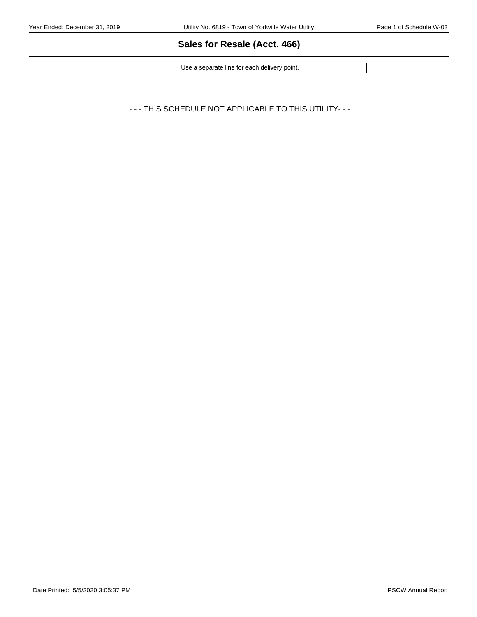# **Sales for Resale (Acct. 466)**

Use a separate line for each delivery point.

- - - THIS SCHEDULE NOT APPLICABLE TO THIS UTILITY- - -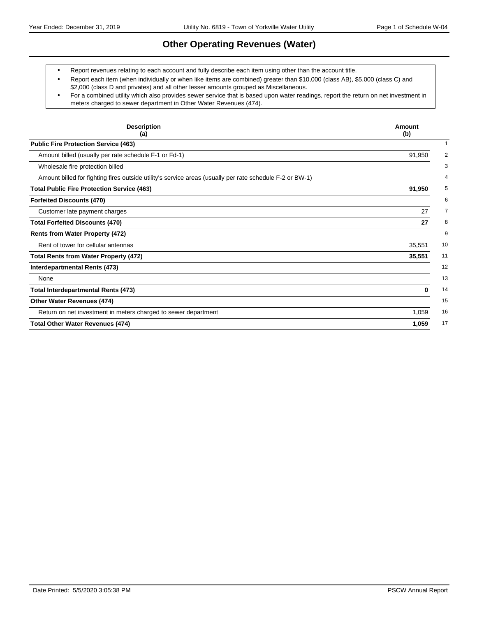### **Other Operating Revenues (Water)**

- Report revenues relating to each account and fully describe each item using other than the account title.
- Report each item (when individually or when like items are combined) greater than \$10,000 (class AB), \$5,000 (class C) and \$2,000 (class D and privates) and all other lesser amounts grouped as Miscellaneous.
- For a combined utility which also provides sewer service that is based upon water readings, report the return on net investment in meters charged to sewer department in Other Water Revenues (474).

| <b>Description</b><br>(a)                                                                                | Amount<br>(b) |
|----------------------------------------------------------------------------------------------------------|---------------|
| <b>Public Fire Protection Service (463)</b>                                                              |               |
| Amount billed (usually per rate schedule F-1 or Fd-1)                                                    | 91,950        |
| Wholesale fire protection billed                                                                         |               |
| Amount billed for fighting fires outside utility's service areas (usually per rate schedule F-2 or BW-1) |               |
| <b>Total Public Fire Protection Service (463)</b>                                                        | 91,950        |
| <b>Forfeited Discounts (470)</b>                                                                         |               |
| Customer late payment charges                                                                            | 27            |
| <b>Total Forfeited Discounts (470)</b>                                                                   | 27            |
| <b>Rents from Water Property (472)</b>                                                                   |               |
| Rent of tower for cellular antennas                                                                      | 35,551        |
| <b>Total Rents from Water Property (472)</b>                                                             | 35,551        |
| Interdepartmental Rents (473)                                                                            |               |
| None                                                                                                     |               |
| <b>Total Interdepartmental Rents (473)</b>                                                               | 0             |
| <b>Other Water Revenues (474)</b>                                                                        |               |
| Return on net investment in meters charged to sewer department                                           | 1,059         |
| <b>Total Other Water Revenues (474)</b>                                                                  | 1,059         |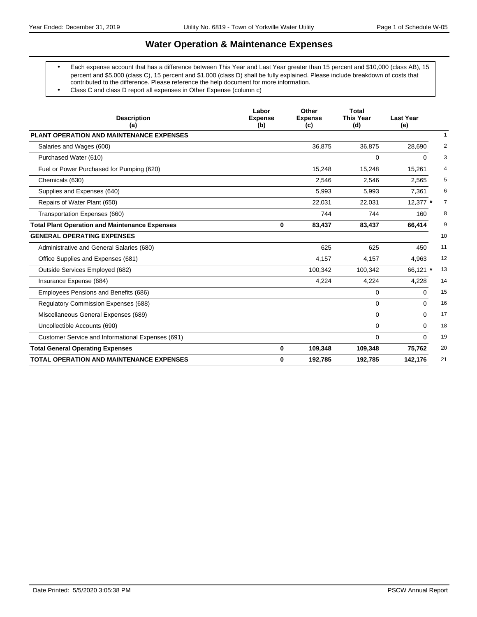### **Water Operation & Maintenance Expenses**

- Each expense account that has a difference between This Year and Last Year greater than 15 percent and \$10,000 (class AB), 15 percent and \$5,000 (class C), 15 percent and \$1,000 (class D) shall be fully explained. Please include breakdown of costs that contributed to the difference. Please reference the help document for more information.
- Class C and class D report all expenses in Other Expense (column c)

| <b>Description</b><br>(a)                             | Labor<br><b>Expense</b><br>(b) | Other<br><b>Expense</b><br>(c) | <b>Total</b><br><b>This Year</b><br>(d) | <b>Last Year</b><br>(e)  |
|-------------------------------------------------------|--------------------------------|--------------------------------|-----------------------------------------|--------------------------|
| PLANT OPERATION AND MAINTENANCE EXPENSES              |                                |                                |                                         | 1                        |
| Salaries and Wages (600)                              |                                | 36,875                         | 36,875                                  | 28,690<br>2              |
| Purchased Water (610)                                 |                                |                                | 0                                       | 3<br>$\Omega$            |
| Fuel or Power Purchased for Pumping (620)             |                                | 15,248                         | 15,248                                  | $\overline{4}$<br>15,261 |
| Chemicals (630)                                       |                                | 2,546                          | 2,546                                   | 5<br>2,565               |
| Supplies and Expenses (640)                           |                                | 5,993                          | 5,993                                   | 6<br>7,361               |
| Repairs of Water Plant (650)                          |                                | 22,031                         | 22,031                                  | 12,377 *<br>7            |
| Transportation Expenses (660)                         |                                | 744                            | 744                                     | 8<br>160                 |
| <b>Total Plant Operation and Maintenance Expenses</b> | 0                              | 83,437                         | 83,437                                  | 9<br>66.414              |
| <b>GENERAL OPERATING EXPENSES</b>                     |                                |                                |                                         | 10                       |
| Administrative and General Salaries (680)             |                                | 625                            | 625                                     | 11<br>450                |
| Office Supplies and Expenses (681)                    |                                | 4,157                          | 4,157                                   | 12<br>4,963              |
| Outside Services Employed (682)                       |                                | 100,342                        | 100,342                                 | 66,121 *<br>13           |
| Insurance Expense (684)                               |                                | 4.224                          | 4,224                                   | 14<br>4.228              |
| Employees Pensions and Benefits (686)                 |                                |                                | 0                                       | 15<br>$\Omega$           |
| Regulatory Commission Expenses (688)                  |                                |                                | 0                                       | 16<br>$\Omega$           |
| Miscellaneous General Expenses (689)                  |                                |                                | $\Omega$                                | 17<br>$\Omega$           |
| Uncollectible Accounts (690)                          |                                |                                | 0                                       | 18<br>$\Omega$           |
| Customer Service and Informational Expenses (691)     |                                |                                | $\Omega$                                | 19<br>$\Omega$           |
| <b>Total General Operating Expenses</b>               | $\bf{0}$                       | 109,348                        | 109,348                                 | 75,762<br>20             |
| <b>TOTAL OPERATION AND MAINTENANCE EXPENSES</b>       | $\bf{0}$                       | 192,785                        | 192,785                                 | 21<br>142,176            |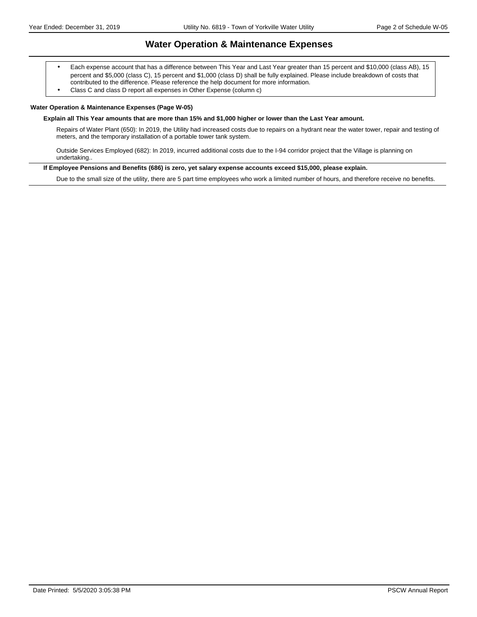### **Water Operation & Maintenance Expenses**

- Each expense account that has a difference between This Year and Last Year greater than 15 percent and \$10,000 (class AB), 15 percent and \$5,000 (class C), 15 percent and \$1,000 (class D) shall be fully explained. Please include breakdown of costs that contributed to the difference. Please reference the help document for more information.
- Class C and class D report all expenses in Other Expense (column c)

#### **Water Operation & Maintenance Expenses (Page W-05)**

#### **Explain all This Year amounts that are more than 15% and \$1,000 higher or lower than the Last Year amount.**

Repairs of Water Plant (650): In 2019, the Utility had increased costs due to repairs on a hydrant near the water tower, repair and testing of meters, and the temporary installation of a portable tower tank system.

Outside Services Employed (682): In 2019, incurred additional costs due to the I-94 corridor project that the Village is planning on undertaking..

#### **If Employee Pensions and Benefits (686) is zero, yet salary expense accounts exceed \$15,000, please explain.**

Due to the small size of the utility, there are 5 part time employees who work a limited number of hours, and therefore receive no benefits.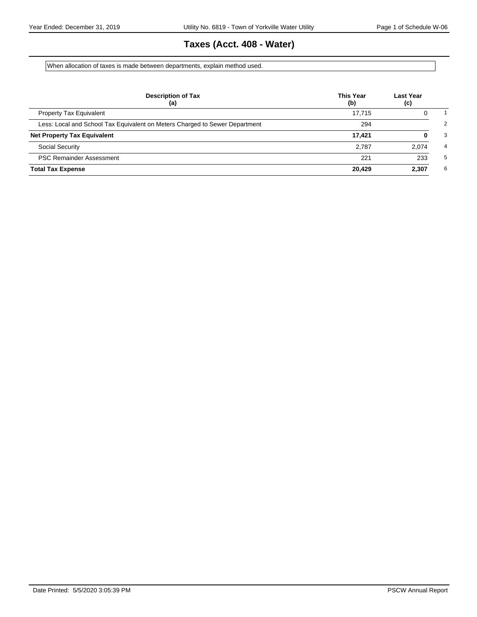# **Taxes (Acct. 408 - Water)**

When allocation of taxes is made between departments, explain method used.

| <b>Description of Tax</b><br>(a)                                            | <b>This Year</b><br>(b) | <b>Last Year</b><br>(c) |
|-----------------------------------------------------------------------------|-------------------------|-------------------------|
| <b>Property Tax Equivalent</b>                                              | 17.715                  | 0                       |
| Less: Local and School Tax Equivalent on Meters Charged to Sewer Department | 294                     |                         |
| <b>Net Property Tax Equivalent</b>                                          | 17.421                  | 0                       |
| Social Security                                                             | 2.787                   | 2.074                   |
| <b>PSC Remainder Assessment</b>                                             | 221                     | 233                     |
| <b>Total Tax Expense</b>                                                    | 20.429                  | 2,307                   |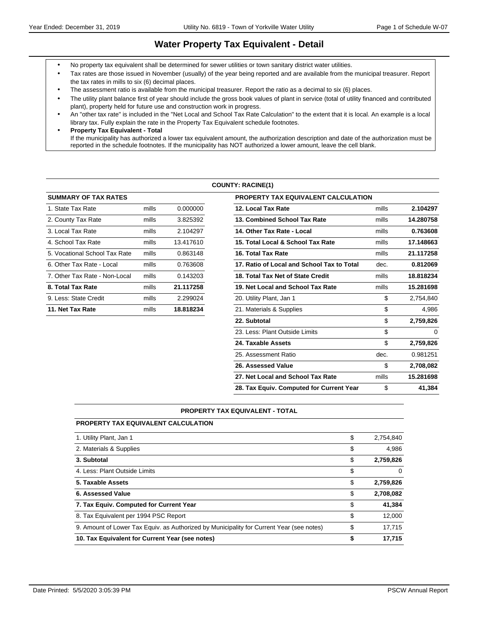### **Water Property Tax Equivalent - Detail**

- No property tax equivalent shall be determined for sewer utilities or town sanitary district water utilities.
- Tax rates are those issued in November (usually) of the year being reported and are available from the municipal treasurer. Report the tax rates in mills to six (6) decimal places.
- The assessment ratio is available from the municipal treasurer. Report the ratio as a decimal to six (6) places.
- The utility plant balance first of year should include the gross book values of plant in service (total of utility financed and contributed plant), property held for future use and construction work in progress.
- An "other tax rate" is included in the "Net Local and School Tax Rate Calculation" to the extent that it is local. An example is a local library tax. Fully explain the rate in the Property Tax Equivalent schedule footnotes.
- **Property Tax Equivalent Total** If the municipality has authorized a lower tax equivalent amount, the authorization description and date of the authorization must be reported in the schedule footnotes. If the municipality has NOT authorized a lower amount, leave the cell blank.

#### **COUNTY: RACINE(1)**

| <b>SUMMARY OF TAX RATES</b>   |       |           | <b>PROPERTY TAX EQUIVALENT CALCULATION</b> |
|-------------------------------|-------|-----------|--------------------------------------------|
| 1. State Tax Rate             | mills | 0.000000  | 12. Local Tax Rate                         |
| 2. County Tax Rate            | mills | 3.825392  | 13. Combined School Tax Rate               |
| 3. Local Tax Rate             | mills | 2.104297  | 14. Other Tax Rate - Local                 |
| 4. School Tax Rate            | mills | 13.417610 | 15. Total Local & School Tax Rate          |
| 5. Vocational School Tax Rate | mills | 0.863148  | 16. Total Tax Rate                         |
| 6. Other Tax Rate - Local     | mills | 0.763608  | 17. Ratio of Local and School Tax to Total |
| 7. Other Tax Rate - Non-Local | mills | 0.143203  | 18. Total Tax Net of State Credit          |
| 8. Total Tax Rate             | mills | 21.117258 | 19. Net Local and School Tax Rate          |
| 9. Less: State Credit         | mills | 2.299024  | 20. Utility Plant, Jan 1                   |
| 11. Net Tax Rate              | mills | 18.818234 | 21. Materials & Supplies                   |
|                               |       |           |                                            |

| <b>SUMMARY OF TAX RATES</b>   |       |           | <b>PROPERTY TAX EQUIVALENT CALCULATION</b> |       |           |
|-------------------------------|-------|-----------|--------------------------------------------|-------|-----------|
| 1. State Tax Rate             | mills | 0.000000  | 12. Local Tax Rate                         | mills | 2.104297  |
| 2. County Tax Rate            | mills | 3.825392  | 13. Combined School Tax Rate               | mills | 14.280758 |
| 3. Local Tax Rate             | mills | 2.104297  | 14. Other Tax Rate - Local                 | mills | 0.763608  |
| 4. School Tax Rate            | mills | 13.417610 | 15. Total Local & School Tax Rate          | mills | 17.148663 |
| 5. Vocational School Tax Rate | mills | 0.863148  | 16. Total Tax Rate                         | mills | 21.117258 |
| 6. Other Tax Rate - Local     | mills | 0.763608  | 17. Ratio of Local and School Tax to Total | dec.  | 0.812069  |
| 7. Other Tax Rate - Non-Local | mills | 0.143203  | 18. Total Tax Net of State Credit          | mills | 18.818234 |
| 8. Total Tax Rate             | mills | 21.117258 | 19. Net Local and School Tax Rate          | mills | 15.281698 |
| 9. Less: State Credit         | mills | 2.299024  | 20. Utility Plant, Jan 1                   | \$    | 2,754,840 |
| 11. Net Tax Rate              | mills | 18.818234 | 21. Materials & Supplies                   | \$    | 4,986     |
|                               |       |           | 22. Subtotal                               | \$    | 2,759,826 |
|                               |       |           | 23. Less: Plant Outside Limits             | \$    | $\Omega$  |
|                               |       |           | 24. Taxable Assets                         | \$    | 2,759,826 |
|                               |       |           | 25. Assessment Ratio                       | dec.  | 0.981251  |
|                               |       |           | 26. Assessed Value                         | \$    | 2,708,082 |
|                               |       |           | 27. Net Local and School Tax Rate          | mills | 15.281698 |
|                               |       |           | 28. Tax Equiv. Computed for Current Year   | \$    | 41,384    |

#### **PROPERTY TAX EQUIVALENT - TOTAL**

| <b>PROPERTY TAX EQUIVALENT CALCULATION</b>                                               |                 |
|------------------------------------------------------------------------------------------|-----------------|
| 1. Utility Plant, Jan 1                                                                  | \$<br>2.754.840 |
| 2. Materials & Supplies                                                                  | \$<br>4.986     |
| 3. Subtotal                                                                              | \$<br>2,759,826 |
| 4. Less: Plant Outside Limits                                                            | \$<br>$\Omega$  |
| 5. Taxable Assets                                                                        | \$<br>2,759,826 |
| 6. Assessed Value                                                                        | \$<br>2,708,082 |
| 7. Tax Equiv. Computed for Current Year                                                  | \$<br>41,384    |
| 8. Tax Equivalent per 1994 PSC Report                                                    | \$<br>12,000    |
| 9. Amount of Lower Tax Equiv. as Authorized by Municipality for Current Year (see notes) | \$<br>17.715    |
| 10. Tax Equivalent for Current Year (see notes)                                          | \$<br>17,715    |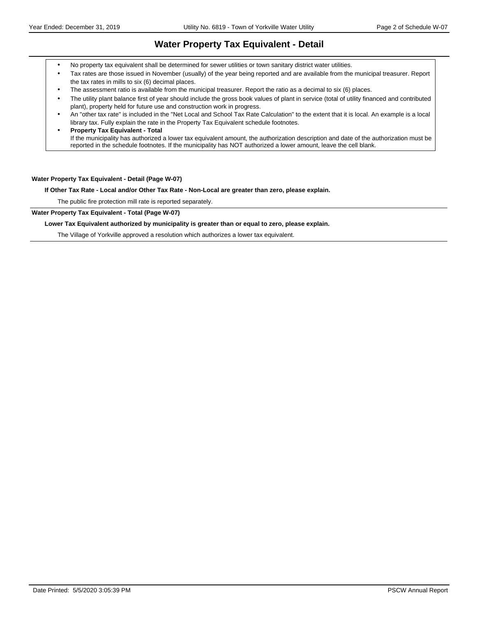### **Water Property Tax Equivalent - Detail**

- No property tax equivalent shall be determined for sewer utilities or town sanitary district water utilities.
- Tax rates are those issued in November (usually) of the year being reported and are available from the municipal treasurer. Report the tax rates in mills to six (6) decimal places.
- The assessment ratio is available from the municipal treasurer. Report the ratio as a decimal to six (6) places.
- The utility plant balance first of year should include the gross book values of plant in service (total of utility financed and contributed plant), property held for future use and construction work in progress.
- An "other tax rate" is included in the "Net Local and School Tax Rate Calculation" to the extent that it is local. An example is a local library tax. Fully explain the rate in the Property Tax Equivalent schedule footnotes.
- **Property Tax Equivalent Total** If the municipality has authorized a lower tax equivalent amount, the authorization description and date of the authorization must be reported in the schedule footnotes. If the municipality has NOT authorized a lower amount, leave the cell blank.

#### **Water Property Tax Equivalent - Detail (Page W-07)**

**If Other Tax Rate - Local and/or Other Tax Rate - Non-Local are greater than zero, please explain.**

The public fire protection mill rate is reported separately.

**Water Property Tax Equivalent - Total (Page W-07)**

#### **Lower Tax Equivalent authorized by municipality is greater than or equal to zero, please explain.**

The Village of Yorkville approved a resolution which authorizes a lower tax equivalent.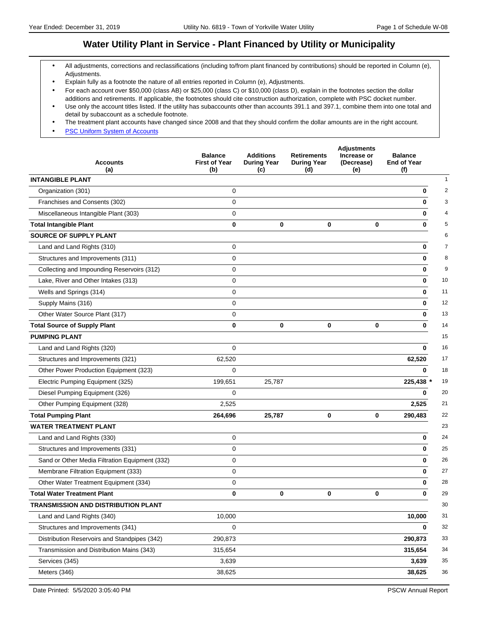### **Water Utility Plant in Service - Plant Financed by Utility or Municipality**

- All adjustments, corrections and reclassifications (including to/from plant financed by contributions) should be reported in Column (e), Adjustments.
- Explain fully as a footnote the nature of all entries reported in Column (e), Adjustments.
- For each account over \$50,000 (class AB) or \$25,000 (class C) or \$10,000 (class D), explain in the footnotes section the dollar additions and retirements. If applicable, the footnotes should cite construction authorization, complete with PSC docket number.
- Use only the account titles listed. If the utility has subaccounts other than accounts 391.1 and 397.1, combine them into one total and detail by subaccount as a schedule footnote.
- The treatment plant accounts have changed since 2008 and that they should confirm the dollar amounts are in the right account.
- **[PSC Uniform System of Accounts](https://psc.wi.gov/Documents/water/USOAWater.pdf)**

| <b>Accounts</b><br>(a)                         | <b>Balance</b><br><b>First of Year</b><br>(b) | <b>Additions</b><br><b>During Year</b><br>(c) | <b>Retirements</b><br><b>During Year</b><br>(d) | <b>Adjustments</b><br>Increase or<br>(Decrease)<br>(e) | <b>Balance</b><br><b>End of Year</b><br>(f) |
|------------------------------------------------|-----------------------------------------------|-----------------------------------------------|-------------------------------------------------|--------------------------------------------------------|---------------------------------------------|
| <b>INTANGIBLE PLANT</b>                        |                                               |                                               |                                                 |                                                        | $\mathbf{1}$                                |
| Organization (301)                             | $\mathbf 0$                                   |                                               |                                                 |                                                        | $\bf{0}$<br>$\overline{2}$                  |
| Franchises and Consents (302)                  | 0                                             |                                               |                                                 |                                                        | 3<br>0                                      |
| Miscellaneous Intangible Plant (303)           | 0                                             |                                               |                                                 |                                                        | 4<br>0                                      |
| <b>Total Intangible Plant</b>                  | 0                                             | 0                                             | 0                                               | $\bf{0}$                                               | 0<br>5                                      |
| <b>SOURCE OF SUPPLY PLANT</b>                  |                                               |                                               |                                                 |                                                        | 6                                           |
| Land and Land Rights (310)                     | 0                                             |                                               |                                                 |                                                        | $\overline{7}$<br>0                         |
| Structures and Improvements (311)              | 0                                             |                                               |                                                 |                                                        | 8<br>0                                      |
| Collecting and Impounding Reservoirs (312)     | 0                                             |                                               |                                                 |                                                        | 9<br>0                                      |
| Lake, River and Other Intakes (313)            | 0                                             |                                               |                                                 |                                                        | 10<br>0                                     |
| Wells and Springs (314)                        | 0                                             |                                               |                                                 |                                                        | 11<br>0                                     |
| Supply Mains (316)                             | 0                                             |                                               |                                                 |                                                        | 12<br>0                                     |
| Other Water Source Plant (317)                 | 0                                             |                                               |                                                 |                                                        | 13<br>0                                     |
| <b>Total Source of Supply Plant</b>            | 0                                             | 0                                             | 0                                               | $\mathbf 0$                                            | 14<br>0                                     |
| <b>PUMPING PLANT</b>                           |                                               |                                               |                                                 |                                                        | 15                                          |
| Land and Land Rights (320)                     | $\mathbf 0$                                   |                                               |                                                 |                                                        | 16<br>0                                     |
| Structures and Improvements (321)              | 62,520                                        |                                               |                                                 |                                                        | 17<br>62,520                                |
| Other Power Production Equipment (323)         | 0                                             |                                               |                                                 |                                                        | 18<br>0                                     |
| Electric Pumping Equipment (325)               | 199,651                                       | 25,787                                        |                                                 |                                                        | 19<br>225,438 *                             |
| Diesel Pumping Equipment (326)                 | $\Omega$                                      |                                               |                                                 |                                                        | 20<br>0                                     |
| Other Pumping Equipment (328)                  | 2,525                                         |                                               |                                                 |                                                        | 2,525<br>21                                 |
| <b>Total Pumping Plant</b>                     | 264,696                                       | 25,787                                        | 0                                               | $\bf{0}$                                               | 22<br>290,483                               |
| <b>WATER TREATMENT PLANT</b>                   |                                               |                                               |                                                 |                                                        | 23                                          |
| Land and Land Rights (330)                     | 0                                             |                                               |                                                 |                                                        | 24<br>0                                     |
| Structures and Improvements (331)              | 0                                             |                                               |                                                 |                                                        | 25<br>0                                     |
| Sand or Other Media Filtration Equipment (332) | 0                                             |                                               |                                                 |                                                        | 26<br>0                                     |
| Membrane Filtration Equipment (333)            | 0                                             |                                               |                                                 |                                                        | 27<br>0                                     |
| Other Water Treatment Equipment (334)          | 0                                             |                                               |                                                 |                                                        | 0<br>28                                     |
| <b>Total Water Treatment Plant</b>             | 0                                             | 0                                             | 0                                               | $\mathbf 0$                                            | 29<br>0                                     |
| TRANSMISSION AND DISTRIBUTION PLANT            |                                               |                                               |                                                 |                                                        | 30                                          |
| Land and Land Rights (340)                     | 10,000                                        |                                               |                                                 |                                                        | 10,000<br>31                                |
| Structures and Improvements (341)              | 0                                             |                                               |                                                 |                                                        | 32<br>0                                     |
| Distribution Reservoirs and Standpipes (342)   | 290,873                                       |                                               |                                                 |                                                        | 33<br>290,873                               |
| Transmission and Distribution Mains (343)      | 315,654                                       |                                               |                                                 |                                                        | 34<br>315,654                               |
| Services (345)                                 | 3,639                                         |                                               |                                                 |                                                        | 3,639<br>35                                 |
| Meters (346)                                   | 38,625                                        |                                               |                                                 |                                                        | 36<br>38,625                                |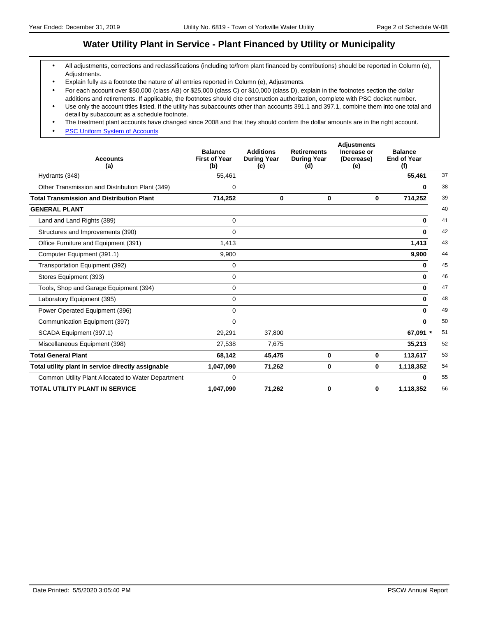### **Water Utility Plant in Service - Plant Financed by Utility or Municipality**

- All adjustments, corrections and reclassifications (including to/from plant financed by contributions) should be reported in Column (e), Adjustments.
- Explain fully as a footnote the nature of all entries reported in Column (e), Adjustments.
- For each account over \$50,000 (class AB) or \$25,000 (class C) or \$10,000 (class D), explain in the footnotes section the dollar additions and retirements. If applicable, the footnotes should cite construction authorization, complete with PSC docket number.
- Use only the account titles listed. If the utility has subaccounts other than accounts 391.1 and 397.1, combine them into one total and detail by subaccount as a schedule footnote.
- The treatment plant accounts have changed since 2008 and that they should confirm the dollar amounts are in the right account.
- **[PSC Uniform System of Accounts](https://psc.wi.gov/Documents/water/USOAWater.pdf)**

| <b>Accounts</b><br>(a)                             | <b>Balance</b><br><b>First of Year</b><br>(b) | <b>Additions</b><br><b>During Year</b><br>(c) | <b>Retirements</b><br><b>During Year</b><br>(d) | <b>Adjustments</b><br>Increase or<br>(Decrease)<br>(e) | <b>Balance</b><br><b>End of Year</b><br>(f) |    |
|----------------------------------------------------|-----------------------------------------------|-----------------------------------------------|-------------------------------------------------|--------------------------------------------------------|---------------------------------------------|----|
| Hydrants (348)                                     | 55,461                                        |                                               |                                                 |                                                        | 55,461                                      | 37 |
| Other Transmission and Distribution Plant (349)    | $\Omega$                                      |                                               |                                                 |                                                        | 0                                           | 38 |
| <b>Total Transmission and Distribution Plant</b>   | 714,252                                       | 0                                             | $\bf{0}$                                        | 0                                                      | 714,252                                     | 39 |
| <b>GENERAL PLANT</b>                               |                                               |                                               |                                                 |                                                        |                                             | 40 |
| Land and Land Rights (389)                         | $\mathbf 0$                                   |                                               |                                                 |                                                        | $\bf{0}$                                    | 41 |
| Structures and Improvements (390)                  | $\mathbf 0$                                   |                                               |                                                 |                                                        | 0                                           | 42 |
| Office Furniture and Equipment (391)               | 1,413                                         |                                               |                                                 |                                                        | 1,413                                       | 43 |
| Computer Equipment (391.1)                         | 9,900                                         |                                               |                                                 |                                                        | 9,900                                       | 44 |
| Transportation Equipment (392)                     | $\mathbf 0$                                   |                                               |                                                 |                                                        | 0                                           | 45 |
| Stores Equipment (393)                             | 0                                             |                                               |                                                 |                                                        | $\bf{0}$                                    | 46 |
| Tools, Shop and Garage Equipment (394)             | $\mathbf 0$                                   |                                               |                                                 |                                                        | $\bf{0}$                                    | 47 |
| Laboratory Equipment (395)                         | $\mathbf 0$                                   |                                               |                                                 |                                                        | 0                                           | 48 |
| Power Operated Equipment (396)                     | $\mathbf 0$                                   |                                               |                                                 |                                                        | $\bf{0}$                                    | 49 |
| Communication Equipment (397)                      | $\mathbf 0$                                   |                                               |                                                 |                                                        | $\bf{0}$                                    | 50 |
| SCADA Equipment (397.1)                            | 29,291                                        | 37,800                                        |                                                 |                                                        | 67,091 *                                    | 51 |
| Miscellaneous Equipment (398)                      | 27,538                                        | 7,675                                         |                                                 |                                                        | 35,213                                      | 52 |
| <b>Total General Plant</b>                         | 68,142                                        | 45,475                                        | 0                                               | 0                                                      | 113,617                                     | 53 |
| Total utility plant in service directly assignable | 1,047,090                                     | 71,262                                        | 0                                               | 0                                                      | 1,118,352                                   | 54 |
| Common Utility Plant Allocated to Water Department | 0                                             |                                               |                                                 |                                                        | 0                                           | 55 |
| <b>TOTAL UTILITY PLANT IN SERVICE</b>              | 1,047,090                                     | 71,262                                        | 0                                               | 0                                                      | 1,118,352                                   | 56 |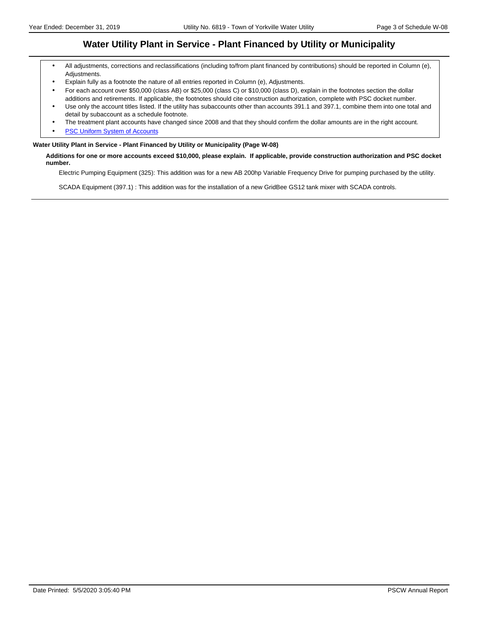### **Water Utility Plant in Service - Plant Financed by Utility or Municipality**

- All adjustments, corrections and reclassifications (including to/from plant financed by contributions) should be reported in Column (e), Adjustments.
- Explain fully as a footnote the nature of all entries reported in Column (e), Adjustments.
- For each account over \$50,000 (class AB) or \$25,000 (class C) or \$10,000 (class D), explain in the footnotes section the dollar additions and retirements. If applicable, the footnotes should cite construction authorization, complete with PSC docket number.
- Use only the account titles listed. If the utility has subaccounts other than accounts 391.1 and 397.1, combine them into one total and detail by subaccount as a schedule footnote.
- The treatment plant accounts have changed since 2008 and that they should confirm the dollar amounts are in the right account.
- **[PSC Uniform System of Accounts](https://psc.wi.gov/Documents/water/USOAWater.pdf)**

#### **Water Utility Plant in Service - Plant Financed by Utility or Municipality (Page W-08)**

**Additions for one or more accounts exceed \$10,000, please explain. If applicable, provide construction authorization and PSC docket number.**

Electric Pumping Equipment (325): This addition was for a new AB 200hp Variable Frequency Drive for pumping purchased by the utility.

SCADA Equipment (397.1) : This addition was for the installation of a new GridBee GS12 tank mixer with SCADA controls.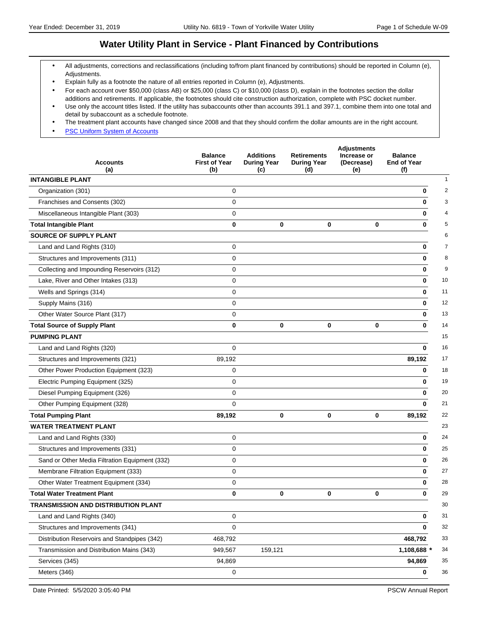### **Water Utility Plant in Service - Plant Financed by Contributions**

- All adjustments, corrections and reclassifications (including to/from plant financed by contributions) should be reported in Column (e), Adjustments.
- Explain fully as a footnote the nature of all entries reported in Column (e), Adjustments.
- For each account over \$50,000 (class AB) or \$25,000 (class C) or \$10,000 (class D), explain in the footnotes section the dollar additions and retirements. If applicable, the footnotes should cite construction authorization, complete with PSC docket number.
- Use only the account titles listed. If the utility has subaccounts other than accounts 391.1 and 397.1, combine them into one total and detail by subaccount as a schedule footnote.
- The treatment plant accounts have changed since 2008 and that they should confirm the dollar amounts are in the right account.
- **[PSC Uniform System of Accounts](https://psc.wi.gov/Documents/water/USOAWater.pdf)**

| <b>Accounts</b><br>(a)                         | <b>Balance</b><br><b>First of Year</b><br>(b) | <b>Additions</b><br><b>During Year</b><br>(c) | <b>Retirements</b><br><b>During Year</b><br>(d) | <b>Adjustments</b><br>Increase or<br>(Decrease)<br>(e) | <b>Balance</b><br><b>End of Year</b><br>(f) |
|------------------------------------------------|-----------------------------------------------|-----------------------------------------------|-------------------------------------------------|--------------------------------------------------------|---------------------------------------------|
| <b>INTANGIBLE PLANT</b>                        |                                               |                                               |                                                 |                                                        | 1                                           |
| Organization (301)                             | 0                                             |                                               |                                                 |                                                        | $\overline{2}$<br>0                         |
| Franchises and Consents (302)                  | 0                                             |                                               |                                                 |                                                        | 3<br>0                                      |
| Miscellaneous Intangible Plant (303)           | 0                                             |                                               |                                                 |                                                        | 0                                           |
| <b>Total Intangible Plant</b>                  | 0                                             | $\mathbf 0$                                   | $\bf{0}$                                        | $\bf{0}$                                               | 0                                           |
| <b>SOURCE OF SUPPLY PLANT</b>                  |                                               |                                               |                                                 |                                                        | 6                                           |
| Land and Land Rights (310)                     | 0                                             |                                               |                                                 |                                                        | $\overline{7}$<br>0                         |
| Structures and Improvements (311)              | 0                                             |                                               |                                                 |                                                        | 8<br>0                                      |
| Collecting and Impounding Reservoirs (312)     | 0                                             |                                               |                                                 |                                                        | 9<br>0                                      |
| Lake, River and Other Intakes (313)            | $\mathbf 0$                                   |                                               |                                                 |                                                        | $\bf{0}$<br>10                              |
| Wells and Springs (314)                        | 0                                             |                                               |                                                 |                                                        | 11<br>0                                     |
| Supply Mains (316)                             | 0                                             |                                               |                                                 |                                                        | 12<br>0                                     |
| Other Water Source Plant (317)                 | 0                                             |                                               |                                                 |                                                        | 13<br>0                                     |
| <b>Total Source of Supply Plant</b>            | 0                                             | $\mathbf 0$                                   | 0                                               | $\mathbf 0$                                            | 14<br>0                                     |
| <b>PUMPING PLANT</b>                           |                                               |                                               |                                                 |                                                        | 15                                          |
| Land and Land Rights (320)                     | 0                                             |                                               |                                                 |                                                        | 16<br>0                                     |
| Structures and Improvements (321)              | 89,192                                        |                                               |                                                 |                                                        | 89,192<br>17                                |
| Other Power Production Equipment (323)         | 0                                             |                                               |                                                 |                                                        | 18<br>0                                     |
| Electric Pumping Equipment (325)               | 0                                             |                                               |                                                 |                                                        | 19<br>0                                     |
| Diesel Pumping Equipment (326)                 | $\mathbf 0$                                   |                                               |                                                 |                                                        | 0<br>20                                     |
| Other Pumping Equipment (328)                  | 0                                             |                                               |                                                 |                                                        | 21<br>0                                     |
| <b>Total Pumping Plant</b>                     | 89,192                                        | 0                                             | 0                                               | $\mathbf 0$                                            | 22<br>89,192                                |
| <b>WATER TREATMENT PLANT</b>                   |                                               |                                               |                                                 |                                                        | 23                                          |
| Land and Land Rights (330)                     | 0                                             |                                               |                                                 |                                                        | 24<br>0                                     |
| Structures and Improvements (331)              | $\mathbf 0$                                   |                                               |                                                 |                                                        | 0<br>25                                     |
| Sand or Other Media Filtration Equipment (332) | 0                                             |                                               |                                                 |                                                        | 26<br>0                                     |
| Membrane Filtration Equipment (333)            | 0                                             |                                               |                                                 |                                                        | 27<br>0                                     |
| Other Water Treatment Equipment (334)          | 0                                             |                                               |                                                 |                                                        | 28<br>0                                     |
| <b>Total Water Treatment Plant</b>             | 0                                             | 0                                             | 0                                               | $\mathbf{0}$                                           | 29<br>0                                     |
| TRANSMISSION AND DISTRIBUTION PLANT            |                                               |                                               |                                                 |                                                        | 30                                          |
| Land and Land Rights (340)                     | 0                                             |                                               |                                                 |                                                        | 31<br>0                                     |
| Structures and Improvements (341)              | 0                                             |                                               |                                                 |                                                        | 32<br>0                                     |
| Distribution Reservoirs and Standpipes (342)   | 468,792                                       |                                               |                                                 |                                                        | 33<br>468,792                               |
| Transmission and Distribution Mains (343)      | 949,567                                       | 159,121                                       |                                                 |                                                        | 1,108,688 *<br>34                           |
| Services (345)                                 | 94,869                                        |                                               |                                                 |                                                        | 94,869<br>35                                |
| Meters (346)                                   | 0                                             |                                               |                                                 |                                                        | 36<br>0                                     |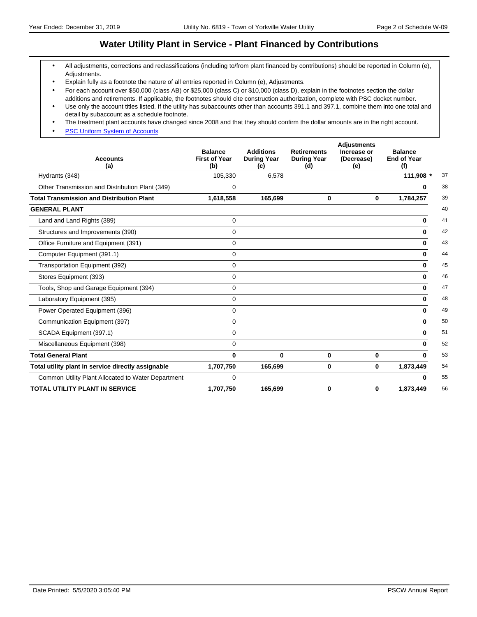### **Water Utility Plant in Service - Plant Financed by Contributions**

- All adjustments, corrections and reclassifications (including to/from plant financed by contributions) should be reported in Column (e), Adjustments.
- Explain fully as a footnote the nature of all entries reported in Column (e), Adjustments.
- For each account over \$50,000 (class AB) or \$25,000 (class C) or \$10,000 (class D), explain in the footnotes section the dollar additions and retirements. If applicable, the footnotes should cite construction authorization, complete with PSC docket number.
- Use only the account titles listed. If the utility has subaccounts other than accounts 391.1 and 397.1, combine them into one total and detail by subaccount as a schedule footnote.
- The treatment plant accounts have changed since 2008 and that they should confirm the dollar amounts are in the right account.
- **[PSC Uniform System of Accounts](https://psc.wi.gov/Documents/water/USOAWater.pdf)**

| <b>Accounts</b><br>(a)                             | <b>Balance</b><br><b>First of Year</b><br>(b) | <b>Additions</b><br><b>During Year</b><br>(c) | <b>Retirements</b><br><b>During Year</b><br>(d) | <b>Adjustments</b><br>Increase or<br>(Decrease)<br>(e) | <b>Balance</b><br><b>End of Year</b><br>(f) |    |
|----------------------------------------------------|-----------------------------------------------|-----------------------------------------------|-------------------------------------------------|--------------------------------------------------------|---------------------------------------------|----|
| Hydrants (348)                                     | 105,330                                       | 6,578                                         |                                                 |                                                        | 111,908 *                                   | 37 |
| Other Transmission and Distribution Plant (349)    | 0                                             |                                               |                                                 |                                                        | 0                                           | 38 |
| <b>Total Transmission and Distribution Plant</b>   | 1,618,558                                     | 165,699                                       | 0                                               | 0                                                      | 1,784,257                                   | 39 |
| <b>GENERAL PLANT</b>                               |                                               |                                               |                                                 |                                                        |                                             | 40 |
| Land and Land Rights (389)                         | $\mathbf 0$                                   |                                               |                                                 |                                                        | $\bf{0}$                                    | 41 |
| Structures and Improvements (390)                  | 0                                             |                                               |                                                 |                                                        | 0                                           | 42 |
| Office Furniture and Equipment (391)               | 0                                             |                                               |                                                 |                                                        | 0                                           | 43 |
| Computer Equipment (391.1)                         | 0                                             |                                               |                                                 |                                                        | $\bf{0}$                                    | 44 |
| Transportation Equipment (392)                     | $\mathbf 0$                                   |                                               |                                                 |                                                        | 0                                           | 45 |
| Stores Equipment (393)                             | $\mathbf 0$                                   |                                               |                                                 |                                                        | $\bf{0}$                                    | 46 |
| Tools, Shop and Garage Equipment (394)             | 0                                             |                                               |                                                 |                                                        | $\bf{0}$                                    | 47 |
| Laboratory Equipment (395)                         | $\mathbf 0$                                   |                                               |                                                 |                                                        | 0                                           | 48 |
| Power Operated Equipment (396)                     | 0                                             |                                               |                                                 |                                                        | 0                                           | 49 |
| Communication Equipment (397)                      | 0                                             |                                               |                                                 |                                                        | $\bf{0}$                                    | 50 |
| SCADA Equipment (397.1)                            | $\Omega$                                      |                                               |                                                 |                                                        | 0                                           | 51 |
| Miscellaneous Equipment (398)                      | $\mathbf 0$                                   |                                               |                                                 |                                                        | 0                                           | 52 |
| <b>Total General Plant</b>                         | $\bf{0}$                                      | 0                                             | 0                                               | 0                                                      | $\mathbf{0}$                                | 53 |
| Total utility plant in service directly assignable | 1,707,750                                     | 165,699                                       | 0                                               | 0                                                      | 1,873,449                                   | 54 |
| Common Utility Plant Allocated to Water Department | 0                                             |                                               |                                                 |                                                        | 0                                           | 55 |
| <b>TOTAL UTILITY PLANT IN SERVICE</b>              | 1,707,750                                     | 165,699                                       | 0                                               | 0                                                      | 1,873,449                                   | 56 |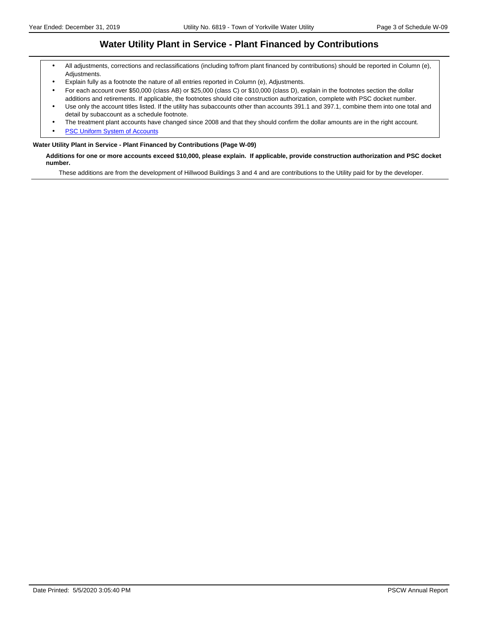### **Water Utility Plant in Service - Plant Financed by Contributions**

- All adjustments, corrections and reclassifications (including to/from plant financed by contributions) should be reported in Column (e), Adjustments.
- Explain fully as a footnote the nature of all entries reported in Column (e), Adjustments.
- For each account over \$50,000 (class AB) or \$25,000 (class C) or \$10,000 (class D), explain in the footnotes section the dollar additions and retirements. If applicable, the footnotes should cite construction authorization, complete with PSC docket number.
- Use only the account titles listed. If the utility has subaccounts other than accounts 391.1 and 397.1, combine them into one total and detail by subaccount as a schedule footnote.
- The treatment plant accounts have changed since 2008 and that they should confirm the dollar amounts are in the right account.
- **[PSC Uniform System of Accounts](https://psc.wi.gov/Documents/water/USOAWater.pdf)**

#### **Water Utility Plant in Service - Plant Financed by Contributions (Page W-09)**

**Additions for one or more accounts exceed \$10,000, please explain. If applicable, provide construction authorization and PSC docket number.**

These additions are from the development of Hillwood Buildings 3 and 4 and are contributions to the Utility paid for by the developer.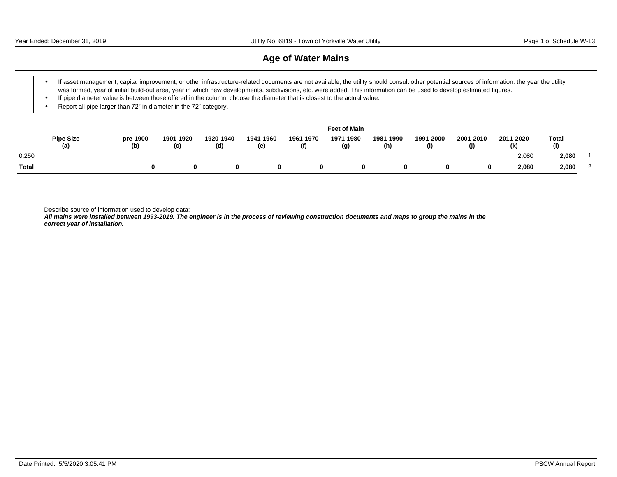### **Age of Water Mains**

- \* If asset management, capital improvement, or other infrastructure-related documents are not available, the utility should consult other potential sources of information: the year the utility was formed, year of initial build-out area, year in which new developments, subdivisions, etc. were added. This information can be used to develop estimated figures.
- If pipe diameter value is between those offered in the column, choose the diameter that is closest to the actual value.
- Report all pipe larger than  $72$ " in diameter in the  $72$ " category.

|              |                         |                 |                  |                  |                  |                  | <b>Feet of Main</b> |                  |                  |                  |                  |              |  |
|--------------|-------------------------|-----------------|------------------|------------------|------------------|------------------|---------------------|------------------|------------------|------------------|------------------|--------------|--|
|              | <b>Pipe Size</b><br>(a) | pre-1900<br>(b) | 1901-1920<br>(c) | 1920-1940<br>(d) | 1941-1960<br>(e) | 1961-1970<br>(f) | 1971-1980<br>(g)    | 1981-1990<br>(h) | 1991-2000<br>(i) | 2001-2010<br>(j) | 2011-2020<br>(k) | Total<br>(1) |  |
| 0.250        |                         |                 |                  |                  |                  |                  |                     |                  |                  |                  | 2,080            | 2,080        |  |
| <b>Total</b> |                         |                 |                  |                  |                  |                  |                     |                  |                  |                  | 2,080            | 2,080        |  |

Describe source of information used to develop data:

**All mains were installed between 1993-2019. The engineer is in the process of reviewing construction documents and maps to group the mains in the correct year of installation.**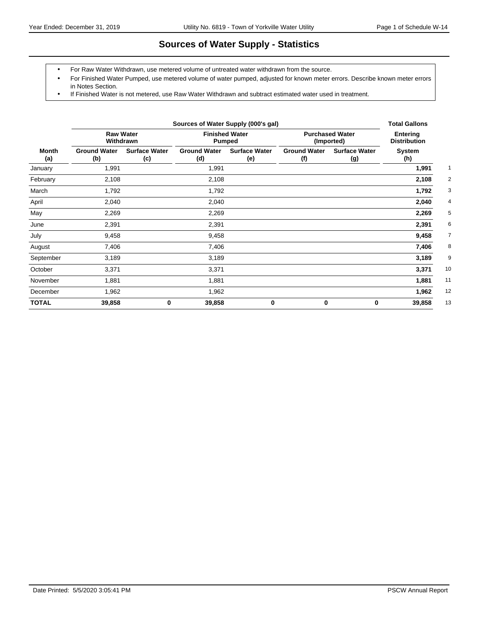# **Sources of Water Supply - Statistics**

- For Raw Water Withdrawn, use metered volume of untreated water withdrawn from the source.
- For Finished Water Pumped, use metered volume of water pumped, adjusted for known meter errors. Describe known meter errors in Notes Section.
- If Finished Water is not metered, use Raw Water Withdrawn and subtract estimated water used in treatment.

|              |                               | Sources of Water Supply (000's gal) |                                        |                             |                                      |                                        |               |  |  |  |  |  |
|--------------|-------------------------------|-------------------------------------|----------------------------------------|-----------------------------|--------------------------------------|----------------------------------------|---------------|--|--|--|--|--|
|              | <b>Raw Water</b><br>Withdrawn |                                     | <b>Finished Water</b><br><b>Pumped</b> |                             | <b>Purchased Water</b><br>(Imported) | <b>Entering</b><br><b>Distribution</b> |               |  |  |  |  |  |
| Month<br>(a) | <b>Ground Water</b><br>(b)    | <b>Surface Water</b><br>(c)         | <b>Ground Water</b><br>(d)             | <b>Surface Water</b><br>(e) | <b>Ground Water</b><br>(f)           | <b>Surface Water</b><br>(g)            | System<br>(h) |  |  |  |  |  |
| January      | 1,991                         |                                     | 1,991                                  |                             |                                      |                                        | 1,991         |  |  |  |  |  |
| February     | 2,108                         |                                     | 2,108                                  |                             |                                      |                                        | 2,108         |  |  |  |  |  |
| March        | 1,792                         |                                     | 1,792                                  |                             |                                      |                                        | 1,792         |  |  |  |  |  |
| April        | 2,040                         |                                     | 2,040                                  |                             |                                      |                                        | 2,040         |  |  |  |  |  |
| May          | 2,269                         |                                     | 2,269                                  |                             |                                      |                                        | 2,269         |  |  |  |  |  |
| June         | 2,391                         |                                     | 2,391                                  |                             |                                      |                                        | 2,391         |  |  |  |  |  |
| July         | 9,458                         |                                     | 9,458                                  |                             |                                      |                                        | 9,458         |  |  |  |  |  |
| August       | 7,406                         |                                     | 7,406                                  |                             |                                      |                                        | 7,406         |  |  |  |  |  |
| September    | 3,189                         |                                     | 3,189                                  |                             |                                      |                                        | 3,189         |  |  |  |  |  |
| October      | 3,371                         |                                     | 3,371                                  |                             |                                      |                                        | 10<br>3,371   |  |  |  |  |  |
| November     | 1,881                         |                                     | 1,881                                  |                             |                                      |                                        | 11<br>1,881   |  |  |  |  |  |
| December     | 1,962                         |                                     | 1,962                                  |                             |                                      |                                        | 12<br>1,962   |  |  |  |  |  |
| <b>TOTAL</b> | 39,858                        | $\bf{0}$                            | 39,858                                 | $\bf{0}$                    | $\mathbf 0$                          | 0                                      | 13<br>39,858  |  |  |  |  |  |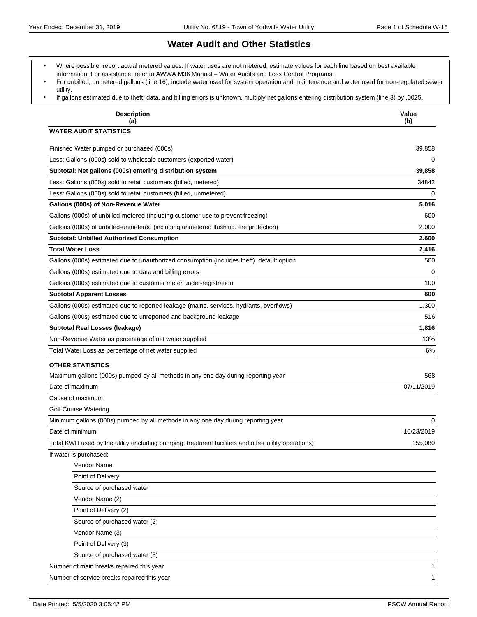### **Water Audit and Other Statistics**

- Where possible, report actual metered values. If water uses are not metered, estimate values for each line based on best available information. For assistance, refer to AWWA M36 Manual - Water Audits and Loss Control Programs.
- For unbilled, unmetered gallons (line 16), include water used for system operation and maintenance and water used for non-regulated sewer utility.
- If gallons estimated due to theft, data, and billing errors is unknown, multiply net gallons entering distribution system (line 3) by .0025.

| <b>Description</b><br>(a)                                                                            | Value<br>(b) |
|------------------------------------------------------------------------------------------------------|--------------|
| <b>WATER AUDIT STATISTICS</b>                                                                        |              |
| Finished Water pumped or purchased (000s)                                                            | 39,858       |
| Less: Gallons (000s) sold to wholesale customers (exported water)                                    | 0            |
| Subtotal: Net gallons (000s) entering distribution system                                            | 39,858       |
| Less: Gallons (000s) sold to retail customers (billed, metered)                                      | 34842        |
| Less: Gallons (000s) sold to retail customers (billed, unmetered)                                    | 0            |
| Gallons (000s) of Non-Revenue Water                                                                  | 5,016        |
| Gallons (000s) of unbilled-metered (including customer use to prevent freezing)                      | 600          |
| Gallons (000s) of unbilled-unmetered (including unmetered flushing, fire protection)                 | 2,000        |
| <b>Subtotal: Unbilled Authorized Consumption</b>                                                     | 2,600        |
| <b>Total Water Loss</b>                                                                              | 2,416        |
| Gallons (000s) estimated due to unauthorized consumption (includes theft) default option             | 500          |
| Gallons (000s) estimated due to data and billing errors                                              | 0            |
| Gallons (000s) estimated due to customer meter under-registration                                    | 100          |
| <b>Subtotal Apparent Losses</b>                                                                      | 600          |
| Gallons (000s) estimated due to reported leakage (mains, services, hydrants, overflows)              | 1,300        |
| Gallons (000s) estimated due to unreported and background leakage                                    | 516          |
| Subtotal Real Losses (leakage)                                                                       | 1,816        |
| Non-Revenue Water as percentage of net water supplied                                                | 13%          |
| Total Water Loss as percentage of net water supplied                                                 | 6%           |
| <b>OTHER STATISTICS</b>                                                                              |              |
| Maximum gallons (000s) pumped by all methods in any one day during reporting year                    | 568          |
| Date of maximum                                                                                      | 07/11/2019   |
| Cause of maximum                                                                                     |              |
| <b>Golf Course Watering</b>                                                                          |              |
| Minimum gallons (000s) pumped by all methods in any one day during reporting year                    | $\Omega$     |
| Date of minimum                                                                                      | 10/23/2019   |
| Total KWH used by the utility (including pumping, treatment facilities and other utility operations) | 155,080      |
| If water is purchased:                                                                               |              |
| Vendor Name                                                                                          |              |
| Point of Delivery                                                                                    |              |
| Source of purchased water                                                                            |              |
| Vendor Name (2)                                                                                      |              |
| Point of Delivery (2)                                                                                |              |
| Source of purchased water (2)                                                                        |              |
| Vendor Name (3)                                                                                      |              |
| Point of Delivery (3)                                                                                |              |
| Source of purchased water (3)                                                                        |              |
| Number of main breaks repaired this year                                                             | 1            |
| Number of service breaks repaired this year                                                          | $\mathbf{1}$ |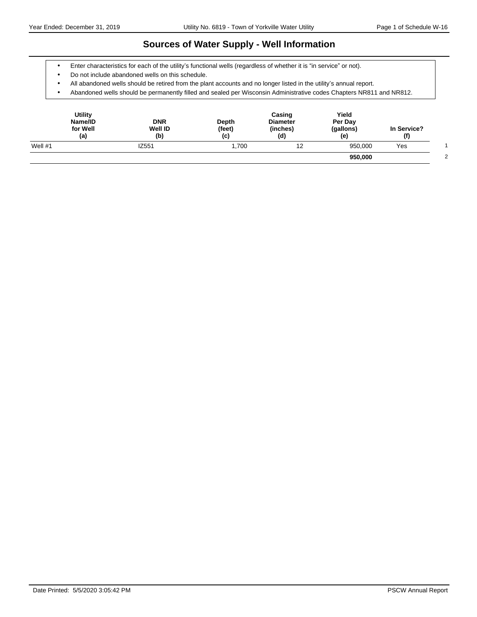### **Sources of Water Supply - Well Information**

- Enter characteristics for each of the utility's functional wells (regardless of whether it is "in service" or not).
- Do not include abandoned wells on this schedule.
- All abandoned wells should be retired from the plant accounts and no longer listed in the utility's annual report.
- Abandoned wells should be permanently filled and sealed per Wisconsin Administrative codes Chapters NR811 and NR812.

| <b>Utility</b><br>Name/ID<br>for Well<br>(a) | <b>DNR</b><br><b>Well ID</b><br>(b) | Depth<br>(feet)<br>(c) | Casing<br><b>Diameter</b><br>(inches)<br>(d) | Yield<br>Per Day<br>(gallons)<br>(e) | In Service?<br>(f) |  |
|----------------------------------------------|-------------------------------------|------------------------|----------------------------------------------|--------------------------------------|--------------------|--|
| Well $#1$                                    | IZ551                               | 1,700                  | 12                                           | 950,000                              | Yes                |  |
|                                              |                                     |                        |                                              | 950,000                              |                    |  |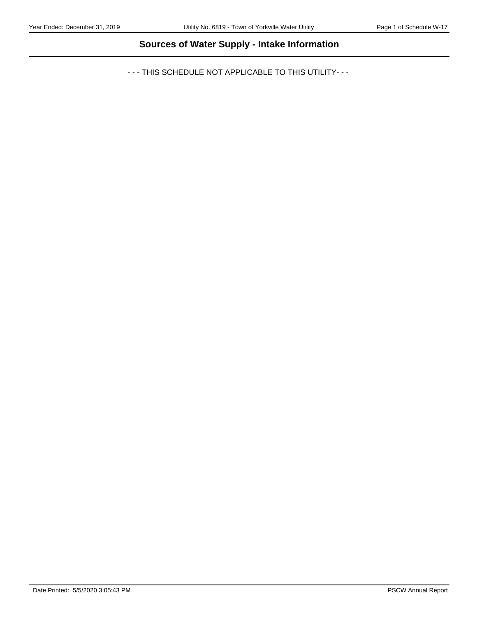# **Sources of Water Supply - Intake Information**

- - - THIS SCHEDULE NOT APPLICABLE TO THIS UTILITY- - -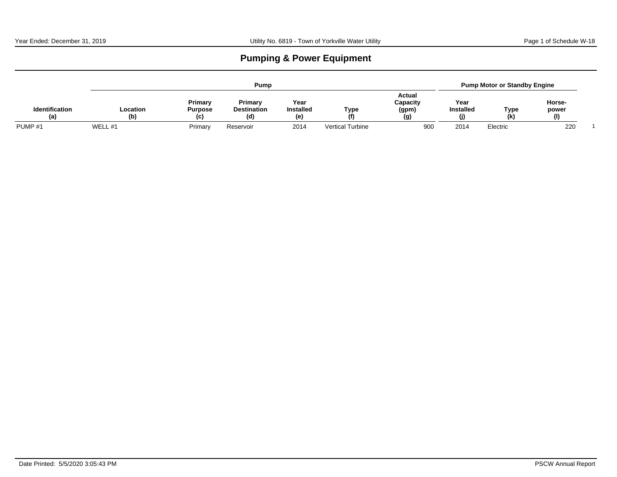# **Pumping & Power Equipment**

|                              |                 |                                  | Pump                                |                                |                         |                                    |                               | <b>Pump Motor or Standby Engine</b> |                                 |  |
|------------------------------|-----------------|----------------------------------|-------------------------------------|--------------------------------|-------------------------|------------------------------------|-------------------------------|-------------------------------------|---------------------------------|--|
| <b>Identification</b><br>(a) | Location<br>(b) | Primary<br><b>Purpose</b><br>(C) | Primary<br><b>Destination</b><br>(ď | Year<br><b>Installed</b><br>(e | Type<br>(f)             | Actual<br>Capacity<br>(gpm)<br>(g) | Year<br><b>Installed</b><br>O | Type<br>(k)                         | Horse-<br>power<br>$\mathbf{I}$ |  |
| PUMP <sub>#1</sub>           | WELL #1         | Primary                          | Reservoir                           | 2014                           | <b>Vertical Turbine</b> | 900                                | 2014                          | Electric                            | 220                             |  |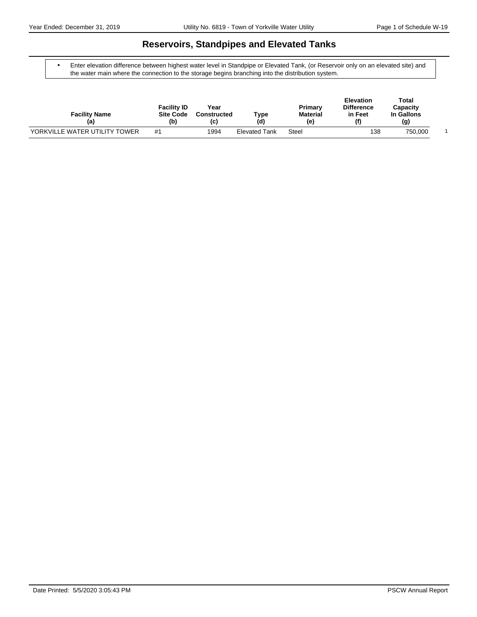### **Reservoirs, Standpipes and Elevated Tanks**

 Enter elevation difference between highest water level in Standpipe or Elevated Tank, (or Reservoir only on an elevated site) and the water main where the connection to the storage begins branching into the distribution system.

| <b>Facility Name</b><br>(a)   | <b>Facility ID</b><br><b>Site Code</b><br>(b) | Year<br><b>Constructed</b><br>(C) | туре<br>(d)          | Primary<br><b>Material</b><br>(e) | <b>Elevation</b><br><b>Difference</b><br>in Feet<br>$\mathbf{f}$ | Total<br>Capacity<br>In Gallons<br>(g) |  |
|-------------------------------|-----------------------------------------------|-----------------------------------|----------------------|-----------------------------------|------------------------------------------------------------------|----------------------------------------|--|
| YORKVILLE WATER UTILITY TOWER | #1                                            | 1994                              | <b>Elevated Tank</b> | Steel                             | 138                                                              | 750,000                                |  |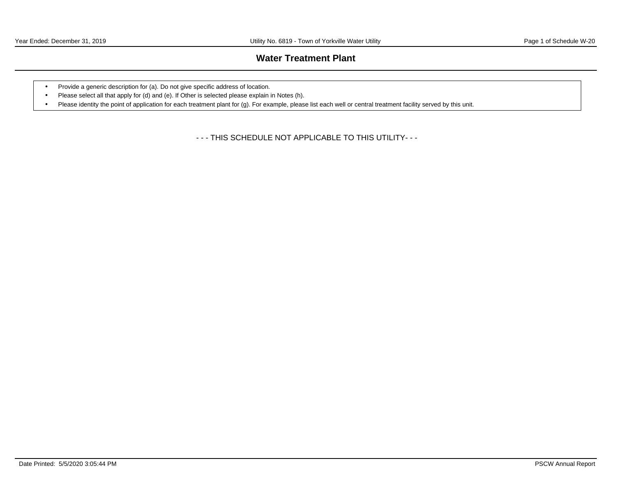### **Water Treatment Plant**

- Provide a generic description for (a). Do not give specific address of location.
- Please select all that apply for (d) and (e). If Other is selected please explain in Notes (h).
- Please identity the point of application for each treatment plant for (g). For example, please list each well or central treatment facility served by this unit.

- - - THIS SCHEDULE NOT APPLICABLE TO THIS UTILITY- - -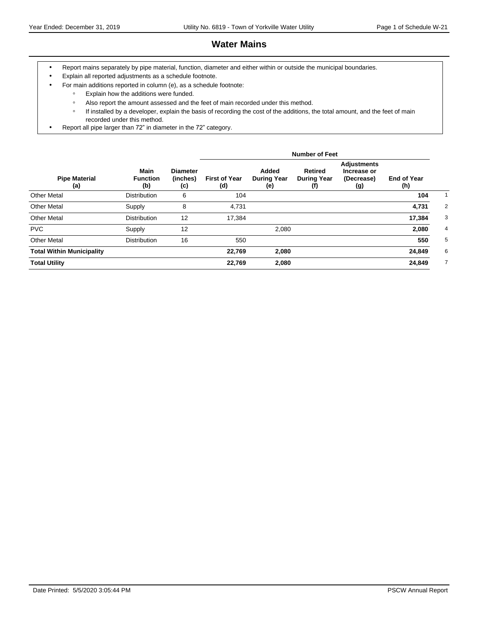### **Water Mains**

- Report mains separately by pipe material, function, diameter and either within or outside the municipal boundaries.
- Explain all reported adjustments as a schedule footnote.
- For main additions reported in column (e), as a schedule footnote:
	- ƕ Explain how the additions were funded.
	- Also report the amount assessed and the feet of main recorded under this method.
	- o If installed by a developer, explain the basis of recording the cost of the additions, the total amount, and the feet of main recorded under this method.
- Report all pipe larger than 72" in diameter in the 72" category.

|                                  |                                       |                                    |                             |                                    | <b>Number of Feet</b>                            |                                                        |                           |                |
|----------------------------------|---------------------------------------|------------------------------------|-----------------------------|------------------------------------|--------------------------------------------------|--------------------------------------------------------|---------------------------|----------------|
| <b>Pipe Material</b><br>(a)      | <b>Main</b><br><b>Function</b><br>(b) | <b>Diameter</b><br>(inches)<br>(c) | <b>First of Year</b><br>(d) | Added<br><b>During Year</b><br>(e) | <b>Retired</b><br><b>During Year</b><br>$^{(f)}$ | <b>Adjustments</b><br>Increase or<br>(Decrease)<br>(g) | <b>End of Year</b><br>(h) |                |
| <b>Other Metal</b>               | <b>Distribution</b>                   | 6                                  | 104                         |                                    |                                                  |                                                        | 104                       | $\overline{1}$ |
| <b>Other Metal</b>               | Supply                                | 8                                  | 4,731                       |                                    |                                                  |                                                        | 4,731                     | 2              |
| <b>Other Metal</b>               | <b>Distribution</b>                   | 12                                 | 17,384                      |                                    |                                                  |                                                        | 17,384                    | 3              |
| <b>PVC</b>                       | Supply                                | 12                                 |                             | 2,080                              |                                                  |                                                        | 2,080                     | 4              |
| <b>Other Metal</b>               | <b>Distribution</b>                   | 16                                 | 550                         |                                    |                                                  |                                                        | 550                       | 5              |
| <b>Total Within Municipality</b> |                                       |                                    | 22,769                      | 2,080                              |                                                  |                                                        | 24,849                    | 6              |
| <b>Total Utility</b>             |                                       |                                    | 22,769                      | 2,080                              |                                                  |                                                        | 24,849                    | $\overline{7}$ |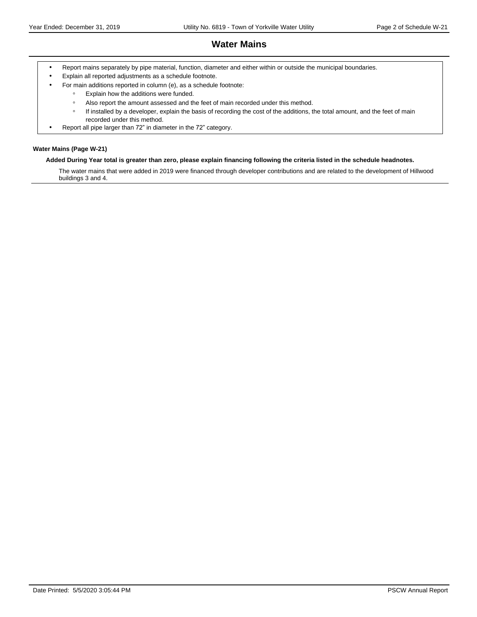### **Water Mains**

- Report mains separately by pipe material, function, diameter and either within or outside the municipal boundaries.
- Explain all reported adjustments as a schedule footnote.
	- For main additions reported in column (e), as a schedule footnote:
		- ƕ Explain how the additions were funded.
		- ƕ Also report the amount assessed and the feet of main recorded under this method.
		- o If installed by a developer, explain the basis of recording the cost of the additions, the total amount, and the feet of main recorded under this method.
- Report all pipe larger than 72" in diameter in the 72" category.

#### **Water Mains (Page W-21)**

#### **Added During Year total is greater than zero, please explain financing following the criteria listed in the schedule headnotes.**

The water mains that were added in 2019 were financed through developer contributions and are related to the development of Hillwood buildings 3 and 4.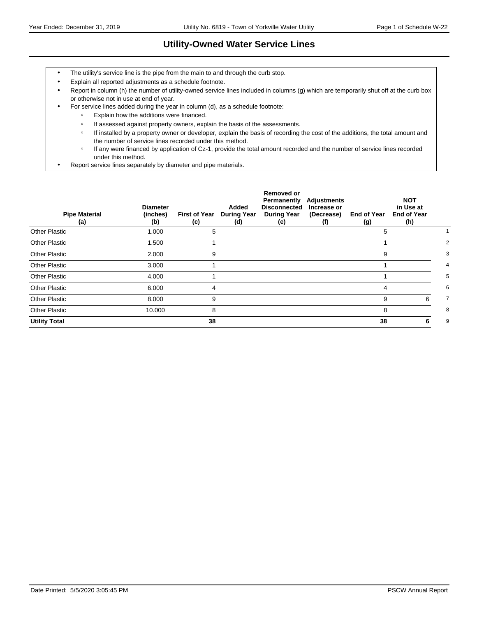# **Utility-Owned Water Service Lines**

- The utility's service line is the pipe from the main to and through the curb stop.
- Explain all reported adjustments as a schedule footnote.
- Report in column (h) the number of utility-owned service lines included in columns (g) which are temporarily shut off at the curb box or otherwise not in use at end of year.
- For service lines added during the year in column (d), as a schedule footnote:
	- ƕ Explain how the additions were financed.
	- o If assessed against property owners, explain the basis of the assessments.
	- o If installed by a property owner or developer, explain the basis of recording the cost of the additions, the total amount and the number of service lines recorded under this method.
	- ƕ If any were financed by application of Cz-1, provide the total amount recorded and the number of service lines recorded under this method.
- Report service lines separately by diameter and pipe materials.

| <b>Pipe Material</b><br>(a) | <b>Diameter</b><br>(inches)<br>(b) | <b>First of Year</b><br>(c) | Added<br><b>During Year</b><br>(d) | <b>Removed or</b><br>Permanently<br><b>Disconnected</b><br><b>During Year</b><br>(e) | Adjustments<br>Increase or<br>(Decrease)<br>(f) | <b>End of Year</b><br>(g) | <b>NOT</b><br>in Use at<br><b>End of Year</b><br>(h) |   |
|-----------------------------|------------------------------------|-----------------------------|------------------------------------|--------------------------------------------------------------------------------------|-------------------------------------------------|---------------------------|------------------------------------------------------|---|
| <b>Other Plastic</b>        | 1.000                              | 5                           |                                    |                                                                                      |                                                 | 5                         |                                                      |   |
| <b>Other Plastic</b>        | 1.500                              |                             |                                    |                                                                                      |                                                 |                           |                                                      | 2 |
| <b>Other Plastic</b>        | 2.000                              | 9                           |                                    |                                                                                      |                                                 | 9                         |                                                      | 3 |
| <b>Other Plastic</b>        | 3.000                              |                             |                                    |                                                                                      |                                                 |                           |                                                      | 4 |
| <b>Other Plastic</b>        | 4.000                              |                             |                                    |                                                                                      |                                                 |                           |                                                      | 5 |
| <b>Other Plastic</b>        | 6.000                              | 4                           |                                    |                                                                                      |                                                 | 4                         |                                                      | 6 |
| Other Plastic               | 8.000                              | 9                           |                                    |                                                                                      |                                                 | 9                         | 6                                                    | 7 |
| <b>Other Plastic</b>        | 10.000                             | 8                           |                                    |                                                                                      |                                                 | 8                         |                                                      | 8 |
| <b>Utility Total</b>        |                                    | 38                          |                                    |                                                                                      |                                                 | 38                        | 6                                                    | 9 |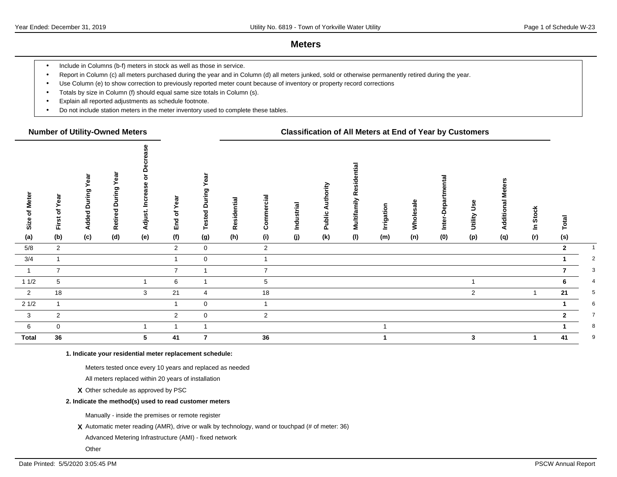### **Meters**

- Include in Columns (b-f) meters in stock as well as those in service.
- Report in Column (c) all meters purchased during the year and in Column (d) all meters junked, sold or otherwise permanently retired during the year.
- Use Column (e) to show correction to previously reported meter count because of inventory or property record corrections
- Totals by size in Column (f) should equal same size totals in Column (s).
- Explain all reported adjustments as schedule footnote.
- Do not include station meters in the meter inventory used to complete these tables.

#### **Number of Utility-Owned Meters Classification of All Meters at End of Year by Customers**

| of Meter<br>Size        | First of Year  | Year<br>During<br><b>Added</b> | ear<br>≻<br>uring<br>$\mathbf{\Omega}$<br>Retired | ≏<br>$\circ$<br><b>Increase</b><br>Adjust. | ear<br>≻<br>đ<br>End | Геа<br>≻<br>δu<br>Ē<br>$\circ$<br><b>Tested</b> | Residential | Commercial      | Industrial | ority<br>들<br>⋖<br>Public | tial<br>Multifamily Reside | Irrigation | Wholesale | Ξ.<br>epa<br>Inter-D | Jse<br>Utility | eters<br>Additional M | <b>Stock</b><br>$\mathbf{a}$ | Total          |                |
|-------------------------|----------------|--------------------------------|---------------------------------------------------|--------------------------------------------|----------------------|-------------------------------------------------|-------------|-----------------|------------|---------------------------|----------------------------|------------|-----------|----------------------|----------------|-----------------------|------------------------------|----------------|----------------|
| (a)                     | (b)            | (c)                            | (d)                                               | (e)                                        | (f)                  | (g)                                             | (h)         | (i)             | (j)        | (k)                       | (1)                        | (m)        | (n)       | (0)                  | (p)            | (q)                   | (r)                          | (s)            |                |
| 5/8                     | $\overline{2}$ |                                |                                                   |                                            | $\overline{2}$       | $\mathbf 0$                                     |             | $\overline{2}$  |            |                           |                            |            |           |                      |                |                       |                              | $\overline{2}$ | $\mathbf{1}$   |
| 3/4                     |                |                                |                                                   |                                            |                      | $\mathbf 0$                                     |             | $\overline{1}$  |            |                           |                            |            |           |                      |                |                       |                              |                | $\overline{2}$ |
| $\overline{1}$          | $\overline{7}$ |                                |                                                   |                                            | $\overline{7}$       |                                                 |             | $\overline{7}$  |            |                           |                            |            |           |                      |                |                       |                              |                | 3              |
| 11/2                    | 5 <sup>5</sup> |                                |                                                   |                                            | 6                    |                                                 |             | $5\phantom{.0}$ |            |                           |                            |            |           |                      |                |                       |                              | 6              | 4              |
| $\overline{\mathbf{2}}$ | 18             |                                |                                                   | 3                                          | 21                   | 4                                               |             | 18              |            |                           |                            |            |           |                      | 2              |                       |                              | 21             | 5              |
| $21/2$                  |                |                                |                                                   |                                            |                      | $\mathbf 0$                                     |             |                 |            |                           |                            |            |           |                      |                |                       |                              |                | 6              |
| $\overline{\mathbf{3}}$ | $\overline{2}$ |                                |                                                   |                                            | $\overline{2}$       | $\mathbf 0$                                     |             | $\overline{2}$  |            |                           |                            |            |           |                      |                |                       |                              | $\mathbf{2}$   | $\overline{7}$ |
| $6\phantom{.}6$         | 0              |                                |                                                   |                                            |                      | -4                                              |             |                 |            |                           |                            |            |           |                      |                |                       |                              |                | 8              |
| <b>Total</b>            | ${\bf 36}$     |                                |                                                   | 5                                          | 41                   | $\overline{7}$                                  |             | 36              |            |                           |                            |            |           |                      | 3              |                       |                              | 41             | 9              |

**1. Indicate your residential meter replacement schedule:**

Meters tested once every 10 years and replaced as needed

All meters replaced within 20 years of installation

**X** Other schedule as approved by PSC

#### **2. Indicate the method(s) used to read customer meters**

Manually - inside the premises or remote register

**X** Automatic meter reading (AMR), drive or walk by technology, wand or touchpad (# of meter: 36)

Advanced Metering Infrastructure (AMI) - fixed network

**Other**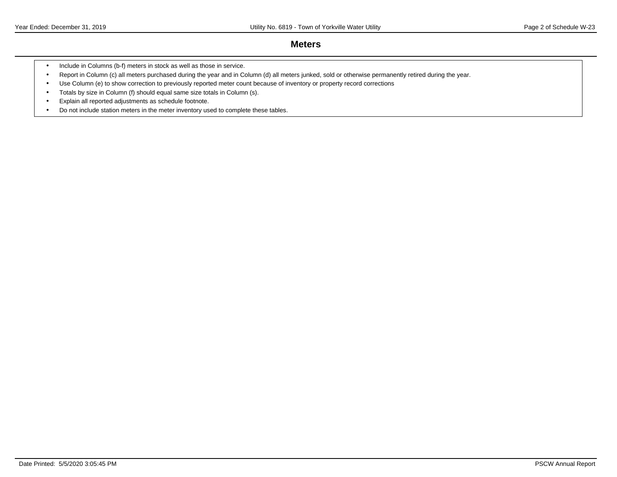### **Meters**

- Include in Columns (b-f) meters in stock as well as those in service.
- Report in Column (c) all meters purchased during the year and in Column (d) all meters junked, sold or otherwise permanently retired during the year.
- Use Column (e) to show correction to previously reported meter count because of inventory or property record corrections
- Totals by size in Column (f) should equal same size totals in Column (s).
- Explain all reported adjustments as schedule footnote.
- Do not include station meters in the meter inventory used to complete these tables.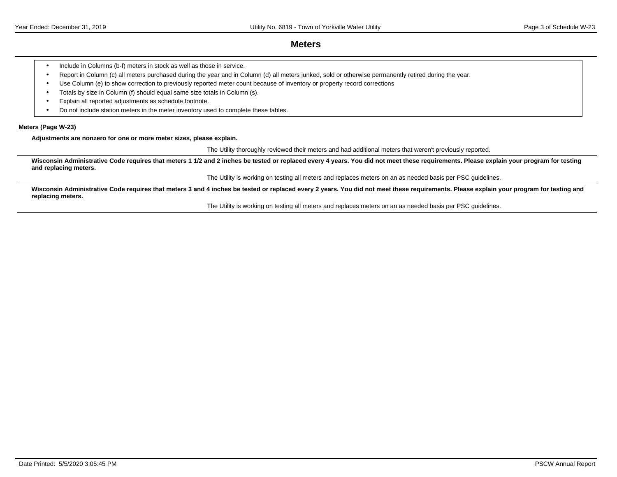### **Meters**

- Include in Columns (b-f) meters in stock as well as those in service.
- Report in Column (c) all meters purchased during the year and in Column (d) all meters junked, sold or otherwise permanently retired during the year.
- Use Column (e) to show correction to previously reported meter count because of inventory or property record corrections
- Totals by size in Column (f) should equal same size totals in Column (s).
- Explain all reported adjustments as schedule footnote.
- Do not include station meters in the meter inventory used to complete these tables.

#### **Meters (Page W-23)**

**Adjustments are nonzero for one or more meter sizes, please explain.**

The Utility thoroughly reviewed their meters and had additional meters that weren't previously reported.

Wisconsin Administrative Code requires that meters 1 1/2 and 2 inches be tested or replaced every 4 years. You did not meet these requirements. Please explain your program for testing **and replacing meters.**

The Utility is working on testing all meters and replaces meters on an as needed basis per PSC guidelines.

Wisconsin Administrative Code requires that meters 3 and 4 inches be tested or replaced every 2 years. You did not meet these requirements. Please explain your program for testing and **replacing meters.**

The Utility is working on testing all meters and replaces meters on an as needed basis per PSC guidelines.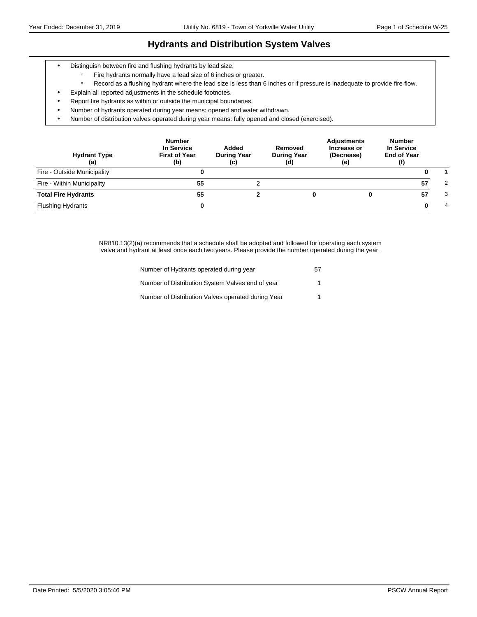### **Hydrants and Distribution System Valves**

- Distinguish between fire and flushing hydrants by lead size.
	- ƕ Fire hydrants normally have a lead size of 6 inches or greater.
	- ƕ Record as a flushing hydrant where the lead size is less than 6 inches or if pressure is inadequate to provide fire flow.
- Explain all reported adjustments in the schedule footnotes.
- Report fire hydrants as within or outside the municipal boundaries.
- Number of hydrants operated during year means: opened and water withdrawn.
- Number of distribution valves operated during year means: fully opened and closed (exercised).

| <b>Hydrant Type</b><br>(a)  | <b>Number</b><br>In Service<br><b>First of Year</b><br>(b) | Added<br><b>During Year</b><br>(c) | Removed<br><b>During Year</b><br>(d) | <b>Adjustments</b><br>Increase or<br>(Decrease)<br>(e) | <b>Number</b><br>In Service<br><b>End of Year</b><br>(f) |   |
|-----------------------------|------------------------------------------------------------|------------------------------------|--------------------------------------|--------------------------------------------------------|----------------------------------------------------------|---|
| Fire - Outside Municipality |                                                            |                                    |                                      |                                                        |                                                          |   |
| Fire - Within Municipality  | 55                                                         |                                    |                                      |                                                        | 57                                                       | 2 |
| <b>Total Fire Hydrants</b>  | 55                                                         |                                    |                                      |                                                        | 57                                                       | 3 |
| <b>Flushing Hydrants</b>    |                                                            |                                    |                                      |                                                        |                                                          | 4 |

NR810.13(2)(a) recommends that a schedule shall be adopted and followed for operating each system valve and hydrant at least once each two years. Please provide the number operated during the year.

| Number of Hydrants operated during year            | 57 |
|----------------------------------------------------|----|
| Number of Distribution System Valves end of year   |    |
| Number of Distribution Valves operated during Year |    |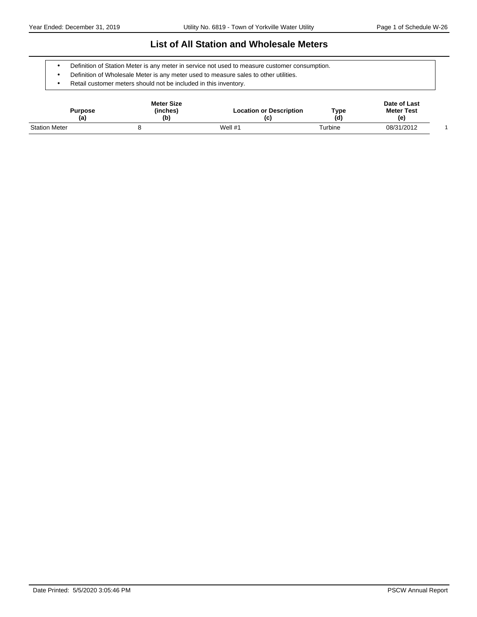### **List of All Station and Wholesale Meters**

- Definition of Station Meter is any meter in service not used to measure customer consumption.
- Definition of Wholesale Meter is any meter used to measure sales to other utilities.
- Retail customer meters should not be included in this inventory.

| Purpose<br>(a)       | <b>Meter Size</b><br>(inches)<br>(b) | <b>Location or Description</b><br>(c) | Type<br>(d) | Date of Last<br><b>Meter Test</b><br>(e) |  |
|----------------------|--------------------------------------|---------------------------------------|-------------|------------------------------------------|--|
| <b>Station Meter</b> |                                      | Well $#1$                             | Turbine     | 08/31/2012                               |  |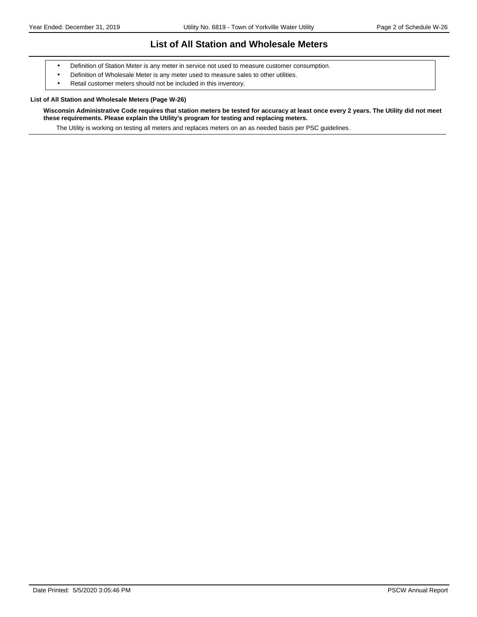### **List of All Station and Wholesale Meters**

- Definition of Station Meter is any meter in service not used to measure customer consumption.
- Definition of Wholesale Meter is any meter used to measure sales to other utilities.
- Retail customer meters should not be included in this inventory.

#### **List of All Station and Wholesale Meters (Page W-26)**

**Wisconsin Administrative Code requires that station meters be tested for accuracy at least once every 2 years. The Utility did not meet these requirements. Please explain the Utility's program for testing and replacing meters.**

The Utility is working on testing all meters and replaces meters on an as needed basis per PSC guidelines.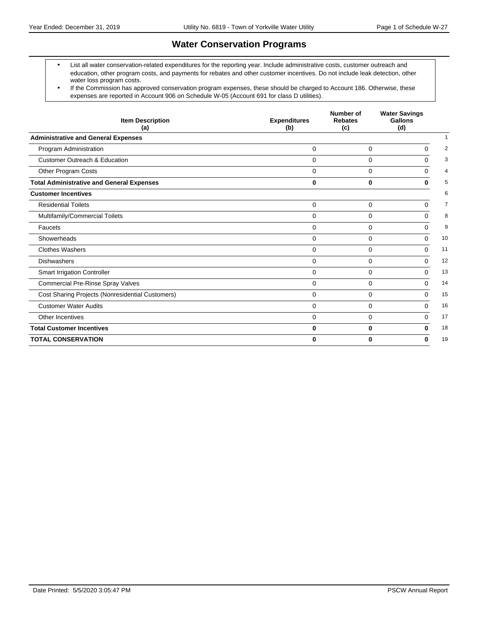# **Water Conservation Programs**

- List all water conservation-related expenditures for the reporting year. Include administrative costs, customer outreach and education, other program costs, and payments for rebates and other customer incentives. Do not include leak detection, other water loss program costs.
- If the Commission has approved conservation program expenses, these should be charged to Account 186. Otherwise, these expenses are reported in Account 906 on Schedule W-05 (Account 691 for class D utilities).

| <b>Item Description</b><br>(a)                   | <b>Expenditures</b><br>(b) | Number of<br><b>Rebates</b><br>(c) | <b>Water Savings</b><br>Gallons<br>(d) |    |  |
|--------------------------------------------------|----------------------------|------------------------------------|----------------------------------------|----|--|
| <b>Administrative and General Expenses</b>       |                            |                                    |                                        |    |  |
| Program Administration                           | 0                          | 0                                  | 0                                      | 2  |  |
| <b>Customer Outreach &amp; Education</b>         | $\Omega$                   | 0                                  | $\Omega$                               | 3  |  |
| Other Program Costs                              | $\Omega$                   | $\Omega$                           | $\Omega$                               | 4  |  |
| <b>Total Administrative and General Expenses</b> | $\bf{0}$                   | $\bf{0}$                           | $\bf{0}$                               | 5  |  |
| <b>Customer Incentives</b>                       |                            |                                    |                                        | 6  |  |
| <b>Residential Toilets</b>                       | $\Omega$                   | $\Omega$                           | $\Omega$                               | 7  |  |
| Multifamily/Commercial Toilets                   | $\Omega$                   | $\mathbf 0$                        | 0                                      | 8  |  |
| Faucets                                          | $\Omega$                   | 0                                  | $\Omega$                               | 9  |  |
| Showerheads                                      | $\Omega$                   | $\Omega$                           | 0                                      | 10 |  |
| <b>Clothes Washers</b>                           | $\Omega$                   | $\Omega$                           | $\Omega$                               | 11 |  |
| <b>Dishwashers</b>                               | $\Omega$                   | $\Omega$                           | $\Omega$                               | 12 |  |
| <b>Smart Irrigation Controller</b>               | 0                          | 0                                  | $\Omega$                               | 13 |  |
| <b>Commercial Pre-Rinse Spray Valves</b>         | $\Omega$                   | $\Omega$                           | $\Omega$                               | 14 |  |
| Cost Sharing Projects (Nonresidential Customers) | $\Omega$                   | 0                                  | $\Omega$                               | 15 |  |
| <b>Customer Water Audits</b>                     | $\Omega$                   | 0                                  | $\Omega$                               | 16 |  |
| Other Incentives                                 | $\Omega$                   | $\Omega$                           | $\Omega$                               | 17 |  |
| <b>Total Customer Incentives</b>                 | $\bf{0}$                   | $\bf{0}$                           | 0                                      | 18 |  |
| <b>TOTAL CONSERVATION</b>                        | $\bf{0}$                   | $\Omega$                           | $\bf{0}$                               | 19 |  |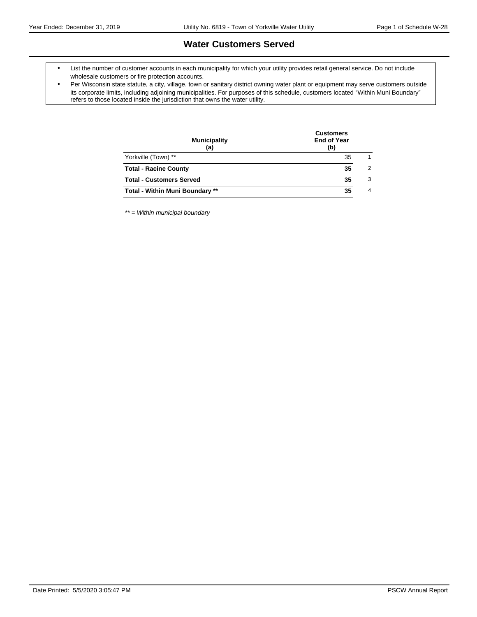### **Water Customers Served**

- List the number of customer accounts in each municipality for which your utility provides retail general service. Do not include wholesale customers or fire protection accounts.
- Per Wisconsin state statute, a city, village, town or sanitary district owning water plant or equipment may serve customers outside its corporate limits, including adjoining municipalities. For purposes of this schedule, customers located "Within Muni Boundary" refers to those located inside the jurisdiction that owns the water utility.

| <b>Municipality</b><br>(a)             | <b>Customers</b><br><b>End of Year</b><br>(b) |                |  |  |
|----------------------------------------|-----------------------------------------------|----------------|--|--|
| Yorkville (Town) **                    | 35                                            | 1              |  |  |
| <b>Total - Racine County</b>           | 35                                            | $\overline{2}$ |  |  |
| <b>Total - Customers Served</b>        | 35                                            | 3              |  |  |
| <b>Total - Within Muni Boundary **</b> | 35                                            | $\overline{4}$ |  |  |
|                                        |                                               |                |  |  |

\*\* = Within municipal boundary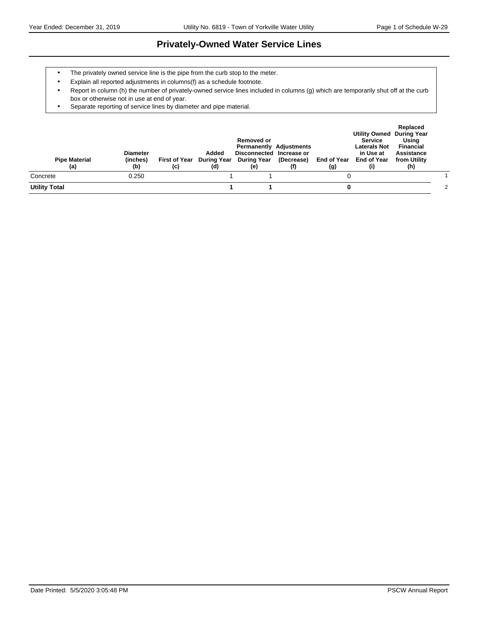### **Privately-Owned Water Service Lines**

- The privately owned service line is the pipe from the curb stop to the meter.
- Explain all reported adjustments in columns(f) as a schedule footnote.
- Report in column (h) the number of privately-owned service lines included in columns (g) which are temporarily shut off at the curb box or otherwise not in use at end of year.
- Separate reporting of service lines by diameter and pipe material.

| <b>Pipe Material</b><br>(a) | <b>Diameter</b><br>(inches)<br>(b) | (c) | Added<br>(d) | <b>Removed or</b><br>Disconnected Increase or<br>First of Year During Year During Year<br>(e) | <b>Permanently Adjustments</b><br>(Decrease)<br>(f) | (g) | <b>Utility Owned During Year</b><br>Service<br><b>Laterals Not</b><br>in Use at<br>End of Year End of Year<br>(i) | Replaced<br>Using<br>Financial<br>Assistance<br>from Utility<br>(h) |   |
|-----------------------------|------------------------------------|-----|--------------|-----------------------------------------------------------------------------------------------|-----------------------------------------------------|-----|-------------------------------------------------------------------------------------------------------------------|---------------------------------------------------------------------|---|
| Concrete                    | 0.250                              |     |              |                                                                                               |                                                     |     |                                                                                                                   |                                                                     |   |
| <b>Utility Total</b>        |                                    |     |              |                                                                                               |                                                     |     |                                                                                                                   |                                                                     | 2 |